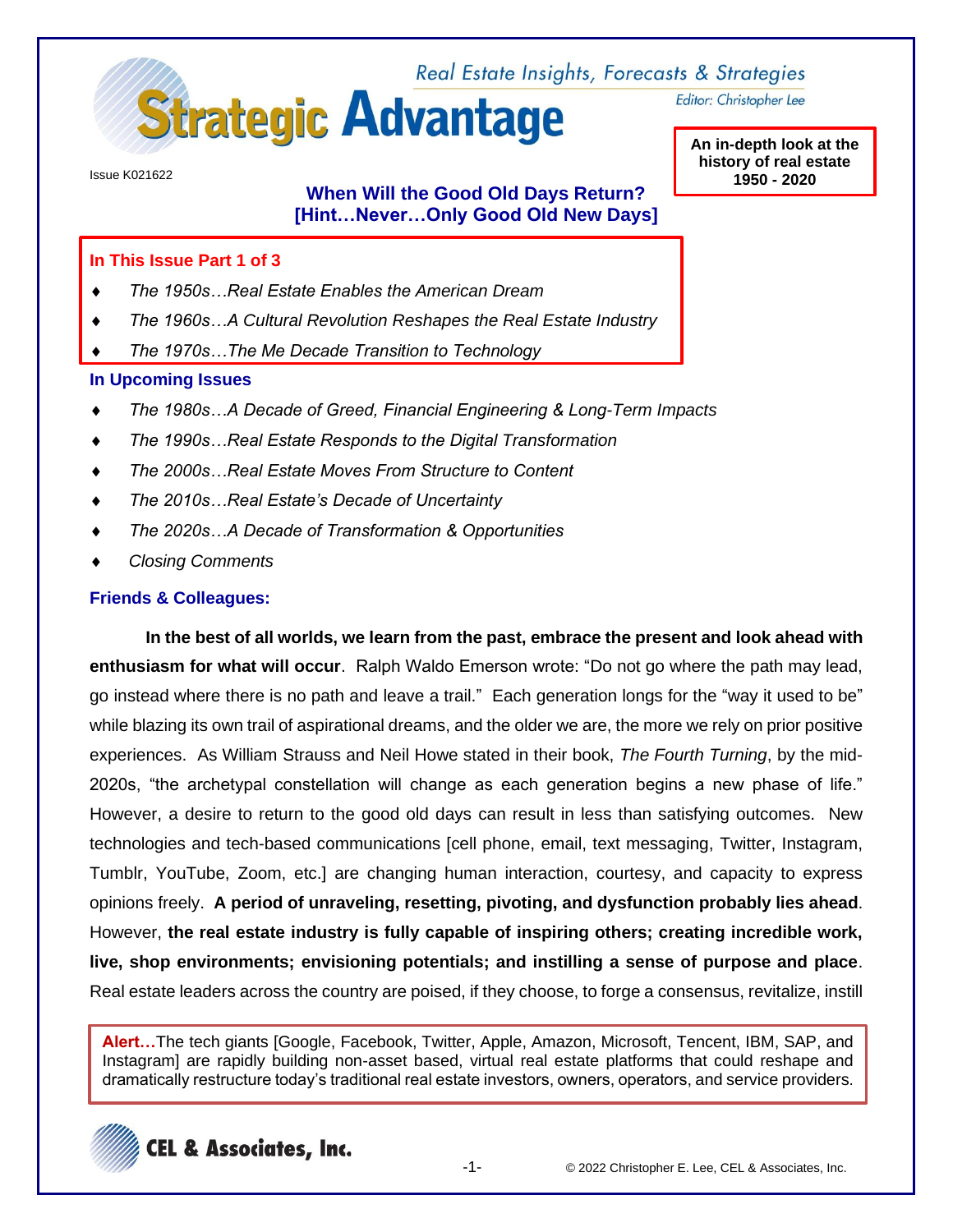

Editor: Christopher Lee

**An in-depth look at the history of real estate 1950 - 2020**

Issue K021622

# **When Will the Good Old Days Return? [Hint…Never…Only Good Old New Days]**

#### **In This Issue Part 1 of 3**

- *The 1950s…Real Estate Enables the American Dream*
- *The 1960s…A Cultural Revolution Reshapes the Real Estate Industry*
- *The 1970s…The Me Decade Transition to Technology*

#### **In Upcoming Issues**

- *The 1980s…A Decade of Greed, Financial Engineering & Long-Term Impacts*
- *The 1990s…Real Estate Responds to the Digital Transformation*
- *The 2000s…Real Estate Moves From Structure to Content*
- *The 2010s…Real Estate's Decade of Uncertainty*
- *The 2020s…A Decade of Transformation & Opportunities*
- *Closing Comments*

#### **Friends & Colleagues:**

**In the best of all worlds, we learn from the past, embrace the present and look ahead with enthusiasm for what will occur**. Ralph Waldo Emerson wrote: "Do not go where the path may lead, go instead where there is no path and leave a trail." Each generation longs for the "way it used to be" while blazing its own trail of aspirational dreams, and the older we are, the more we rely on prior positive experiences. As William Strauss and Neil Howe stated in their book, *The Fourth Turning*, by the mid-2020s, "the archetypal constellation will change as each generation begins a new phase of life." However, a desire to return to the good old days can result in less than satisfying outcomes. New technologies and tech-based communications [cell phone, email, text messaging, Twitter, Instagram, Tumblr, YouTube, Zoom, etc.] are changing human interaction, courtesy, and capacity to express opinions freely. **A period of unraveling, resetting, pivoting, and dysfunction probably lies ahead**. However, **the real estate industry is fully capable of inspiring others; creating incredible work, live, shop environments; envisioning potentials; and instilling a sense of purpose and place**. Real estate leaders across the country are poised, if they choose, to forge a consensus, revitalize, instill

**Alert…**The tech giants [Google, Facebook, Twitter, Apple, Amazon, Microsoft, Tencent, IBM, SAP, and Instagram] are rapidly building non-asset based, virtual real estate platforms that could reshape and dramatically restructure today's traditional real estate investors, owners, operators, and service providers.

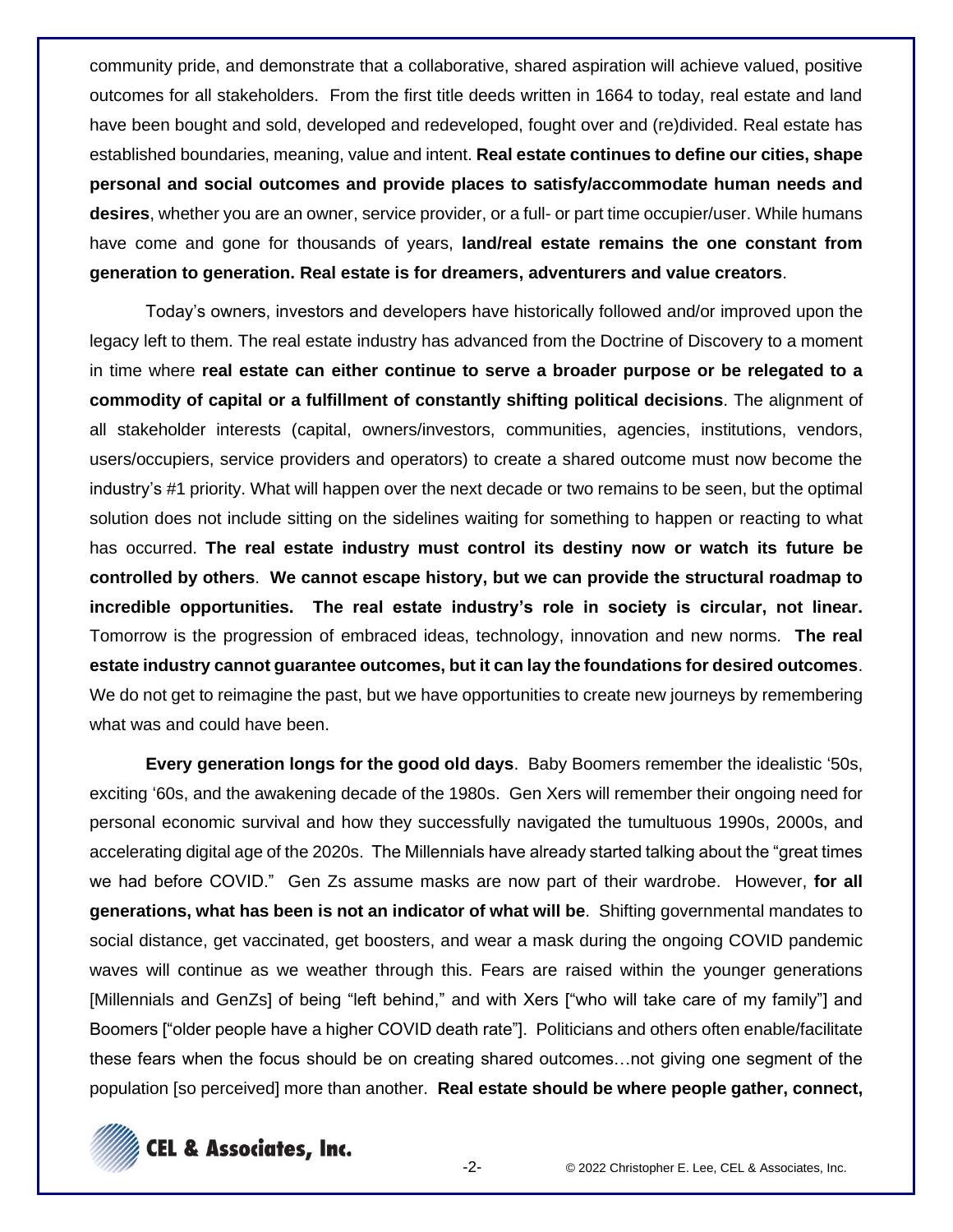community pride, and demonstrate that a collaborative, shared aspiration will achieve valued, positive outcomes for all stakeholders. From the first title deeds written in 1664 to today, real estate and land have been bought and sold, developed and redeveloped, fought over and (re)divided. Real estate has established boundaries, meaning, value and intent. **Real estate continues to define our cities, shape personal and social outcomes and provide places to satisfy/accommodate human needs and desires**, whether you are an owner, service provider, or a full- or part time occupier/user. While humans have come and gone for thousands of years, **land/real estate remains the one constant from generation to generation. Real estate is for dreamers, adventurers and value creators**.

Today's owners, investors and developers have historically followed and/or improved upon the legacy left to them. The real estate industry has advanced from the Doctrine of Discovery to a moment in time where **real estate can either continue to serve a broader purpose or be relegated to a commodity of capital or a fulfillment of constantly shifting political decisions**. The alignment of all stakeholder interests (capital, owners/investors, communities, agencies, institutions, vendors, users/occupiers, service providers and operators) to create a shared outcome must now become the industry's #1 priority. What will happen over the next decade or two remains to be seen, but the optimal solution does not include sitting on the sidelines waiting for something to happen or reacting to what has occurred. **The real estate industry must control its destiny now or watch its future be controlled by others**. **We cannot escape history, but we can provide the structural roadmap to incredible opportunities. The real estate industry's role in society is circular, not linear.**  Tomorrow is the progression of embraced ideas, technology, innovation and new norms. **The real estate industry cannot guarantee outcomes, but it can lay the foundations for desired outcomes**. We do not get to reimagine the past, but we have opportunities to create new journeys by remembering what was and could have been.

**Every generation longs for the good old days**. Baby Boomers remember the idealistic '50s, exciting '60s, and the awakening decade of the 1980s. Gen Xers will remember their ongoing need for personal economic survival and how they successfully navigated the tumultuous 1990s, 2000s, and accelerating digital age of the 2020s. The Millennials have already started talking about the "great times we had before COVID." Gen Zs assume masks are now part of their wardrobe. However, **for all generations, what has been is not an indicator of what will be**. Shifting governmental mandates to social distance, get vaccinated, get boosters, and wear a mask during the ongoing COVID pandemic waves will continue as we weather through this. Fears are raised within the younger generations [Millennials and GenZs] of being "left behind," and with Xers ["who will take care of my family"] and Boomers ["older people have a higher COVID death rate"]. Politicians and others often enable/facilitate these fears when the focus should be on creating shared outcomes…not giving one segment of the population [so perceived] more than another. **Real estate should be where people gather, connect,** 

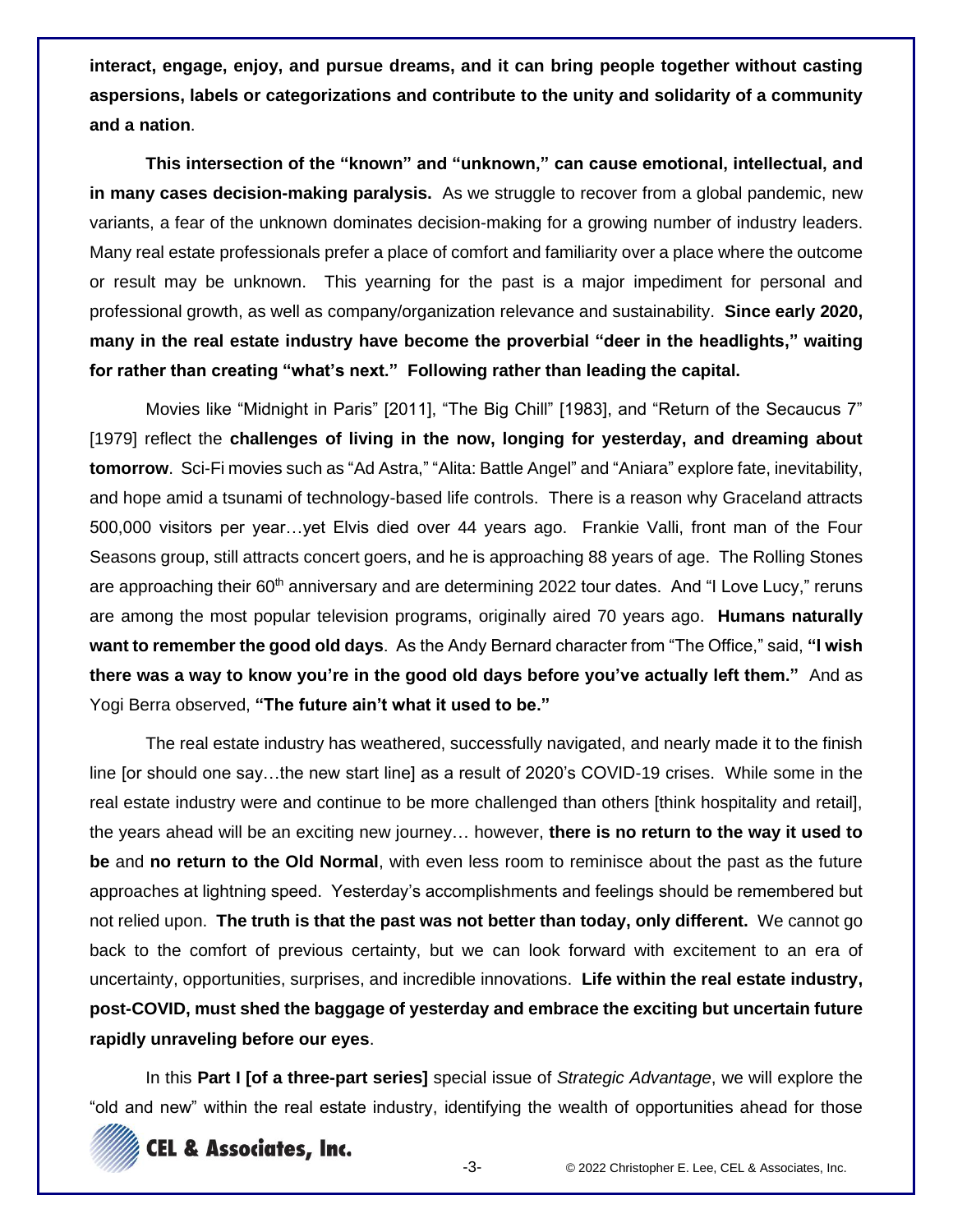**interact, engage, enjoy, and pursue dreams, and it can bring people together without casting aspersions, labels or categorizations and contribute to the unity and solidarity of a community and a nation**.

**This intersection of the "known" and "unknown," can cause emotional, intellectual, and in many cases decision-making paralysis.** As we struggle to recover from a global pandemic, new variants, a fear of the unknown dominates decision-making for a growing number of industry leaders. Many real estate professionals prefer a place of comfort and familiarity over a place where the outcome or result may be unknown. This yearning for the past is a major impediment for personal and professional growth, as well as company/organization relevance and sustainability. **Since early 2020, many in the real estate industry have become the proverbial "deer in the headlights," waiting for rather than creating "what's next." Following rather than leading the capital.**

Movies like "Midnight in Paris" [2011], "The Big Chill" [1983], and "Return of the Secaucus 7" [1979] reflect the **challenges of living in the now, longing for yesterday, and dreaming about tomorrow**. Sci-Fi movies such as "Ad Astra," "Alita: Battle Angel" and "Aniara" explore fate, inevitability, and hope amid a tsunami of technology-based life controls. There is a reason why Graceland attracts 500,000 visitors per year…yet Elvis died over 44 years ago. Frankie Valli, front man of the Four Seasons group, still attracts concert goers, and he is approaching 88 years of age. The Rolling Stones are approaching their  $60<sup>th</sup>$  anniversary and are determining 2022 tour dates. And "I Love Lucy," reruns are among the most popular television programs, originally aired 70 years ago. **Humans naturally want to remember the good old days**. As the Andy Bernard character from "The Office," said, **"I wish there was a way to know you're in the good old days before you've actually left them."** And as Yogi Berra observed, **"The future ain't what it used to be."**

The real estate industry has weathered, successfully navigated, and nearly made it to the finish line [or should one say…the new start line] as a result of 2020's COVID-19 crises. While some in the real estate industry were and continue to be more challenged than others [think hospitality and retail], the years ahead will be an exciting new journey… however, **there is no return to the way it used to be** and **no return to the Old Normal**, with even less room to reminisce about the past as the future approaches at lightning speed. Yesterday's accomplishments and feelings should be remembered but not relied upon. **The truth is that the past was not better than today, only different.** We cannot go back to the comfort of previous certainty, but we can look forward with excitement to an era of uncertainty, opportunities, surprises, and incredible innovations. **Life within the real estate industry, post-COVID, must shed the baggage of yesterday and embrace the exciting but uncertain future rapidly unraveling before our eyes**.

In this **Part I [of a three-part series]** special issue of *Strategic Advantage*, we will explore the "old and new" within the real estate industry, identifying the wealth of opportunities ahead for those

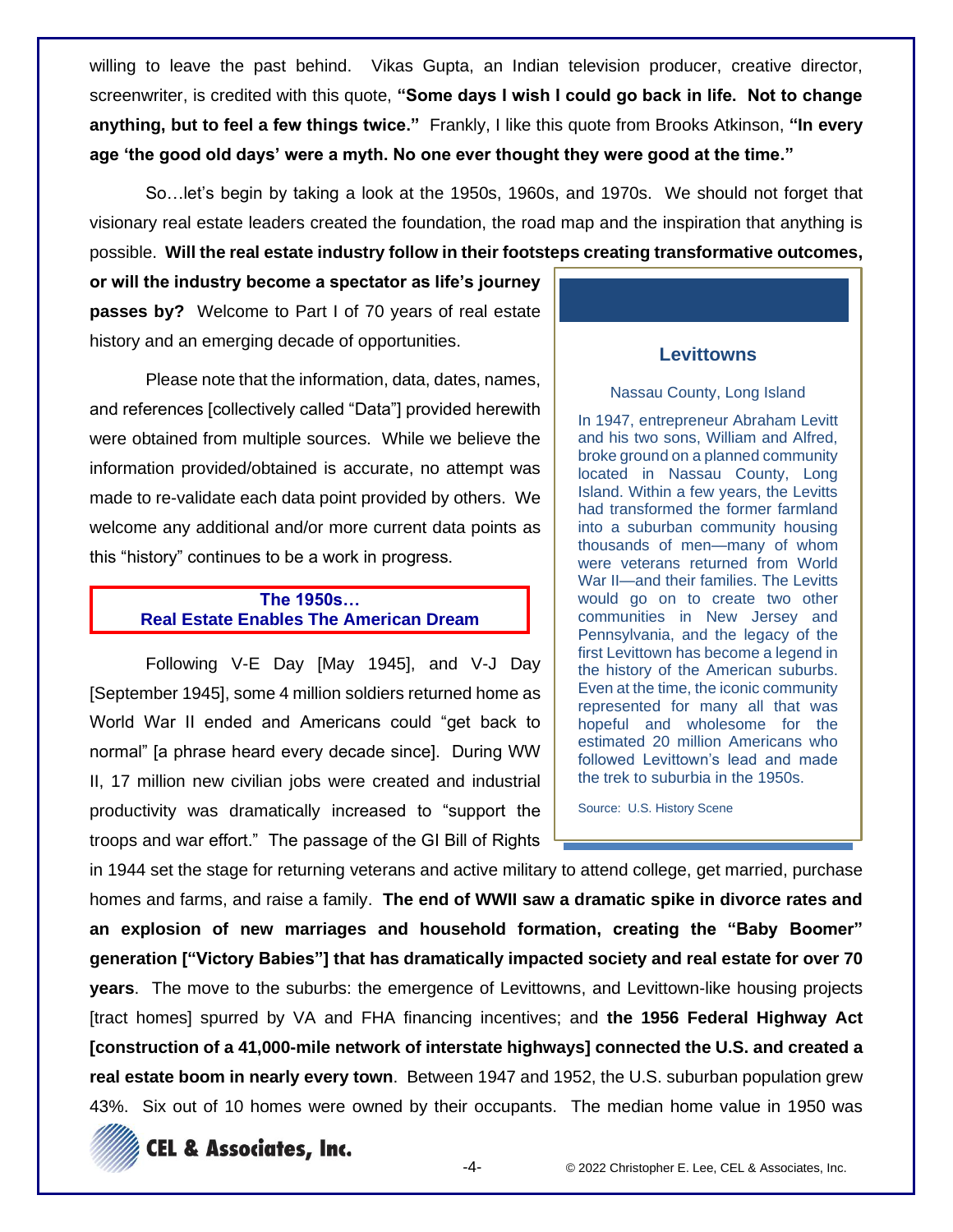willing to leave the past behind. Vikas Gupta, an Indian television producer, creative director, screenwriter, is credited with this quote, **"Some days I wish I could go back in life. Not to change anything, but to feel a few things twice."** Frankly, I like this quote from Brooks Atkinson, **"In every age 'the good old days' were a myth. No one ever thought they were good at the time."**

So…let's begin by taking a look at the 1950s, 1960s, and 1970s. We should not forget that visionary real estate leaders created the foundation, the road map and the inspiration that anything is possible. **Will the real estate industry follow in their footsteps creating transformative outcomes,**

**or will the industry become a spectator as life's journey passes by?** Welcome to Part I of 70 years of real estate history and an emerging decade of opportunities.

Please note that the information, data, dates, names, and references [collectively called "Data"] provided herewith were obtained from multiple sources. While we believe the information provided/obtained is accurate, no attempt was made to re-validate each data point provided by others. We welcome any additional and/or more current data points as this "history" continues to be a work in progress.

# **The 1950s… Real Estate Enables The American Dream**

Following V-E Day [May 1945], and V-J Day [September 1945], some 4 million soldiers returned home as World War II ended and Americans could "get back to normal" [a phrase heard every decade since]. During WW II, 17 million new civilian jobs were created and industrial productivity was dramatically increased to "support the troops and war effort." The passage of the GI Bill of Rights

#### **Levittowns**

#### Nassau County, Long Island

In 1947, entrepreneur Abraham Levitt and his two sons, William and Alfred, broke ground on a planned community located in Nassau County, Long Island. Within a few years, the Levitts had transformed the former farmland into a suburban community housing thousands of men—many of whom were veterans returned from World War II—and their families. The Levitts would go on to create two other communities in New Jersey and Pennsylvania, and the legacy of the first Levittown has become a legend in the history of the American suburbs. Even at the time, the iconic community represented for many all that was hopeful and wholesome for the estimated 20 million Americans who followed Levittown's lead and made the trek to suburbia in the 1950s.

Source: U.S. History Scene

in 1944 set the stage for returning veterans and active military to attend college, get married, purchase homes and farms, and raise a family. **The end of WWII saw a dramatic spike in divorce rates and an explosion of new marriages and household formation, creating the "Baby Boomer" generation ["Victory Babies"] that has dramatically impacted society and real estate for over 70 years**. The move to the suburbs: the emergence of Levittowns, and Levittown-like housing projects [tract homes] spurred by VA and FHA financing incentives; and **the 1956 Federal Highway Act [construction of a 41,000-mile network of interstate highways] connected the U.S. and created a real estate boom in nearly every town**. Between 1947 and 1952, the U.S. suburban population grew 43%. Six out of 10 homes were owned by their occupants. The median home value in 1950 was



**CEL & Associates, Inc.**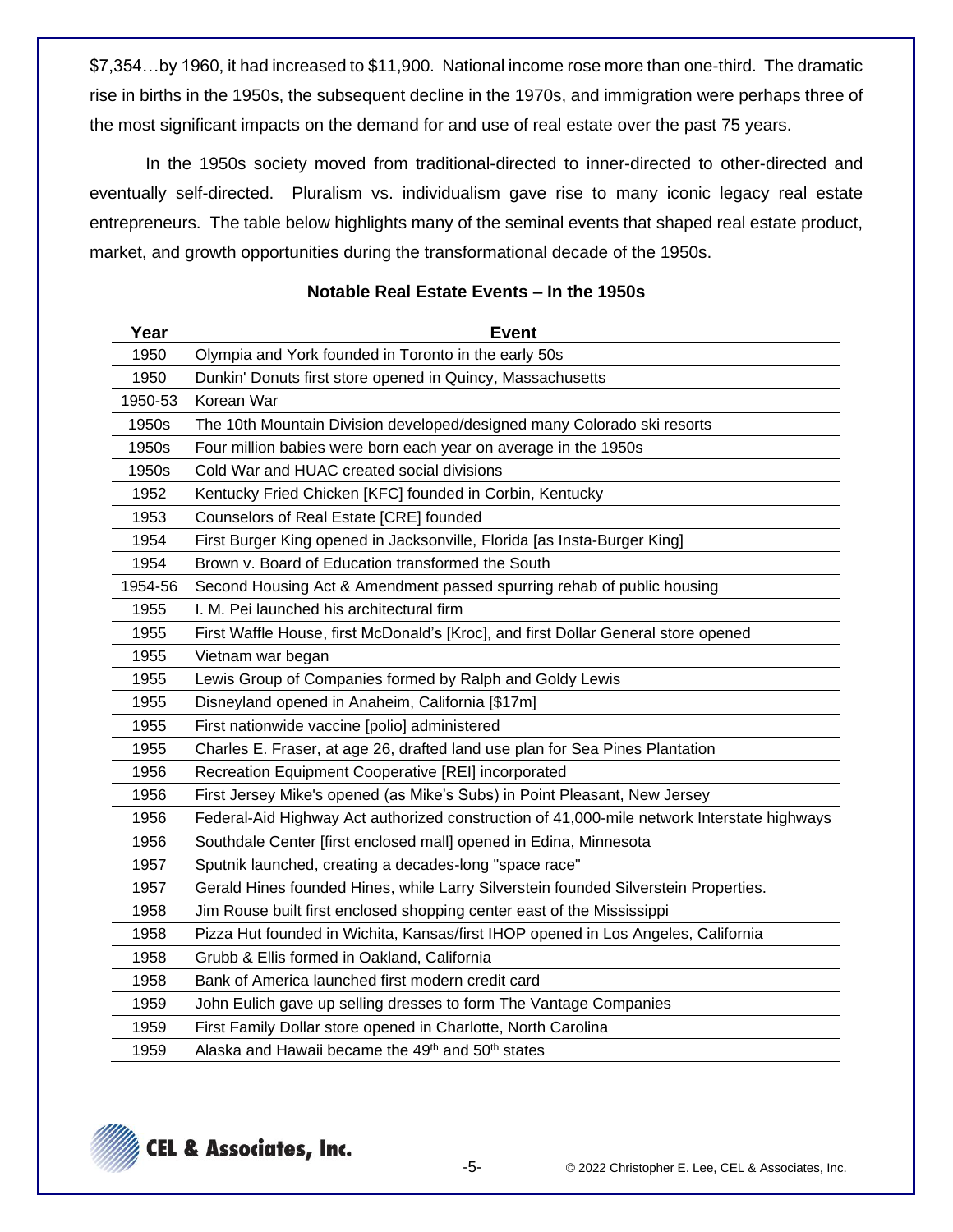\$7,354…by 1960, it had increased to \$11,900. National income rose more than one-third. The dramatic rise in births in the 1950s, the subsequent decline in the 1970s, and immigration were perhaps three of the most significant impacts on the demand for and use of real estate over the past 75 years.

In the 1950s society moved from traditional-directed to inner-directed to other-directed and eventually self-directed. Pluralism vs. individualism gave rise to many iconic legacy real estate entrepreneurs. The table below highlights many of the seminal events that shaped real estate product, market, and growth opportunities during the transformational decade of the 1950s.

| Year    | <b>Event</b>                                                                               |  |  |  |  |
|---------|--------------------------------------------------------------------------------------------|--|--|--|--|
| 1950    | Olympia and York founded in Toronto in the early 50s                                       |  |  |  |  |
| 1950    | Dunkin' Donuts first store opened in Quincy, Massachusetts                                 |  |  |  |  |
| 1950-53 | Korean War                                                                                 |  |  |  |  |
| 1950s   | The 10th Mountain Division developed/designed many Colorado ski resorts                    |  |  |  |  |
| 1950s   | Four million babies were born each year on average in the 1950s                            |  |  |  |  |
| 1950s   | Cold War and HUAC created social divisions                                                 |  |  |  |  |
| 1952    | Kentucky Fried Chicken [KFC] founded in Corbin, Kentucky                                   |  |  |  |  |
| 1953    | Counselors of Real Estate [CRE] founded                                                    |  |  |  |  |
| 1954    | First Burger King opened in Jacksonville, Florida [as Insta-Burger King]                   |  |  |  |  |
| 1954    | Brown v. Board of Education transformed the South                                          |  |  |  |  |
| 1954-56 | Second Housing Act & Amendment passed spurring rehab of public housing                     |  |  |  |  |
| 1955    | I. M. Pei launched his architectural firm                                                  |  |  |  |  |
| 1955    | First Waffle House, first McDonald's [Kroc], and first Dollar General store opened         |  |  |  |  |
| 1955    | Vietnam war began                                                                          |  |  |  |  |
| 1955    | Lewis Group of Companies formed by Ralph and Goldy Lewis                                   |  |  |  |  |
| 1955    | Disneyland opened in Anaheim, California [\$17m]                                           |  |  |  |  |
| 1955    | First nationwide vaccine [polio] administered                                              |  |  |  |  |
| 1955    | Charles E. Fraser, at age 26, drafted land use plan for Sea Pines Plantation               |  |  |  |  |
| 1956    | Recreation Equipment Cooperative [REI] incorporated                                        |  |  |  |  |
| 1956    | First Jersey Mike's opened (as Mike's Subs) in Point Pleasant, New Jersey                  |  |  |  |  |
| 1956    | Federal-Aid Highway Act authorized construction of 41,000-mile network Interstate highways |  |  |  |  |
| 1956    | Southdale Center [first enclosed mall] opened in Edina, Minnesota                          |  |  |  |  |
| 1957    | Sputnik launched, creating a decades-long "space race"                                     |  |  |  |  |
| 1957    | Gerald Hines founded Hines, while Larry Silverstein founded Silverstein Properties.        |  |  |  |  |
| 1958    | Jim Rouse built first enclosed shopping center east of the Mississippi                     |  |  |  |  |
| 1958    | Pizza Hut founded in Wichita, Kansas/first IHOP opened in Los Angeles, California          |  |  |  |  |
| 1958    | Grubb & Ellis formed in Oakland, California                                                |  |  |  |  |
| 1958    | Bank of America launched first modern credit card                                          |  |  |  |  |
| 1959    | John Eulich gave up selling dresses to form The Vantage Companies                          |  |  |  |  |
| 1959    | First Family Dollar store opened in Charlotte, North Carolina                              |  |  |  |  |
| 1959    | Alaska and Hawaii became the 49 <sup>th</sup> and 50 <sup>th</sup> states                  |  |  |  |  |

## **Notable Real Estate Events – In the 1950s**

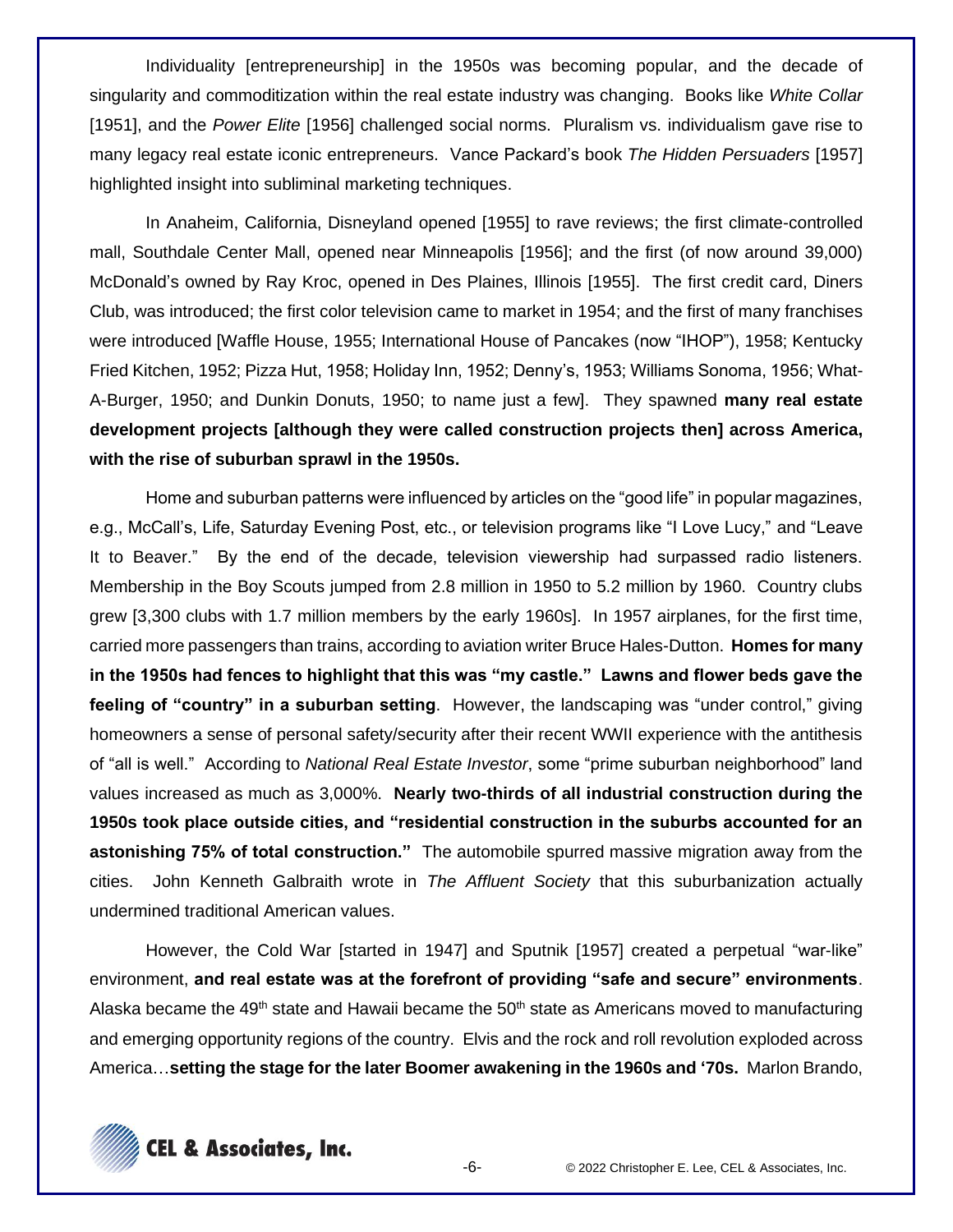Individuality [entrepreneurship] in the 1950s was becoming popular, and the decade of singularity and commoditization within the real estate industry was changing. Books like *White Collar* [1951], and the *Power Elite* [1956] challenged social norms. Pluralism vs. individualism gave rise to many legacy real estate iconic entrepreneurs. Vance Packard's book *The Hidden Persuaders* [1957] highlighted insight into subliminal marketing techniques.

In Anaheim, California, Disneyland opened [1955] to rave reviews; the first climate-controlled mall, Southdale Center Mall, opened near Minneapolis [1956]; and the first (of now around 39,000) McDonald's owned by Ray Kroc, opened in Des Plaines, Illinois [1955]. The first credit card, Diners Club, was introduced; the first color television came to market in 1954; and the first of many franchises were introduced [Waffle House, 1955; International House of Pancakes (now "IHOP"), 1958; Kentucky Fried Kitchen, 1952; Pizza Hut, 1958; Holiday Inn, 1952; Denny's, 1953; Williams Sonoma, 1956; What-A-Burger, 1950; and Dunkin Donuts, 1950; to name just a few]. They spawned **many real estate development projects [although they were called construction projects then] across America, with the rise of suburban sprawl in the 1950s.**

Home and suburban patterns were influenced by articles on the "good life" in popular magazines, e.g., McCall's, Life, Saturday Evening Post, etc., or television programs like "I Love Lucy," and "Leave It to Beaver." By the end of the decade, television viewership had surpassed radio listeners. Membership in the Boy Scouts jumped from 2.8 million in 1950 to 5.2 million by 1960. Country clubs grew [3,300 clubs with 1.7 million members by the early 1960s]. In 1957 airplanes, for the first time, carried more passengers than trains, according to aviation writer Bruce Hales-Dutton. **Homes for many in the 1950s had fences to highlight that this was "my castle." Lawns and flower beds gave the feeling of "country" in a suburban setting**. However, the landscaping was "under control," giving homeowners a sense of personal safety/security after their recent WWII experience with the antithesis of "all is well." According to *National Real Estate Investor*, some "prime suburban neighborhood" land values increased as much as 3,000%. **Nearly two-thirds of all industrial construction during the 1950s took place outside cities, and "residential construction in the suburbs accounted for an astonishing 75% of total construction."** The automobile spurred massive migration away from the cities. John Kenneth Galbraith wrote in *The Affluent Society* that this suburbanization actually undermined traditional American values.

However, the Cold War [started in 1947] and Sputnik [1957] created a perpetual "war-like" environment, **and real estate was at the forefront of providing "safe and secure" environments**. Alaska became the 49<sup>th</sup> state and Hawaii became the 50<sup>th</sup> state as Americans moved to manufacturing and emerging opportunity regions of the country. Elvis and the rock and roll revolution exploded across America…**setting the stage for the later Boomer awakening in the 1960s and '70s.** Marlon Brando,

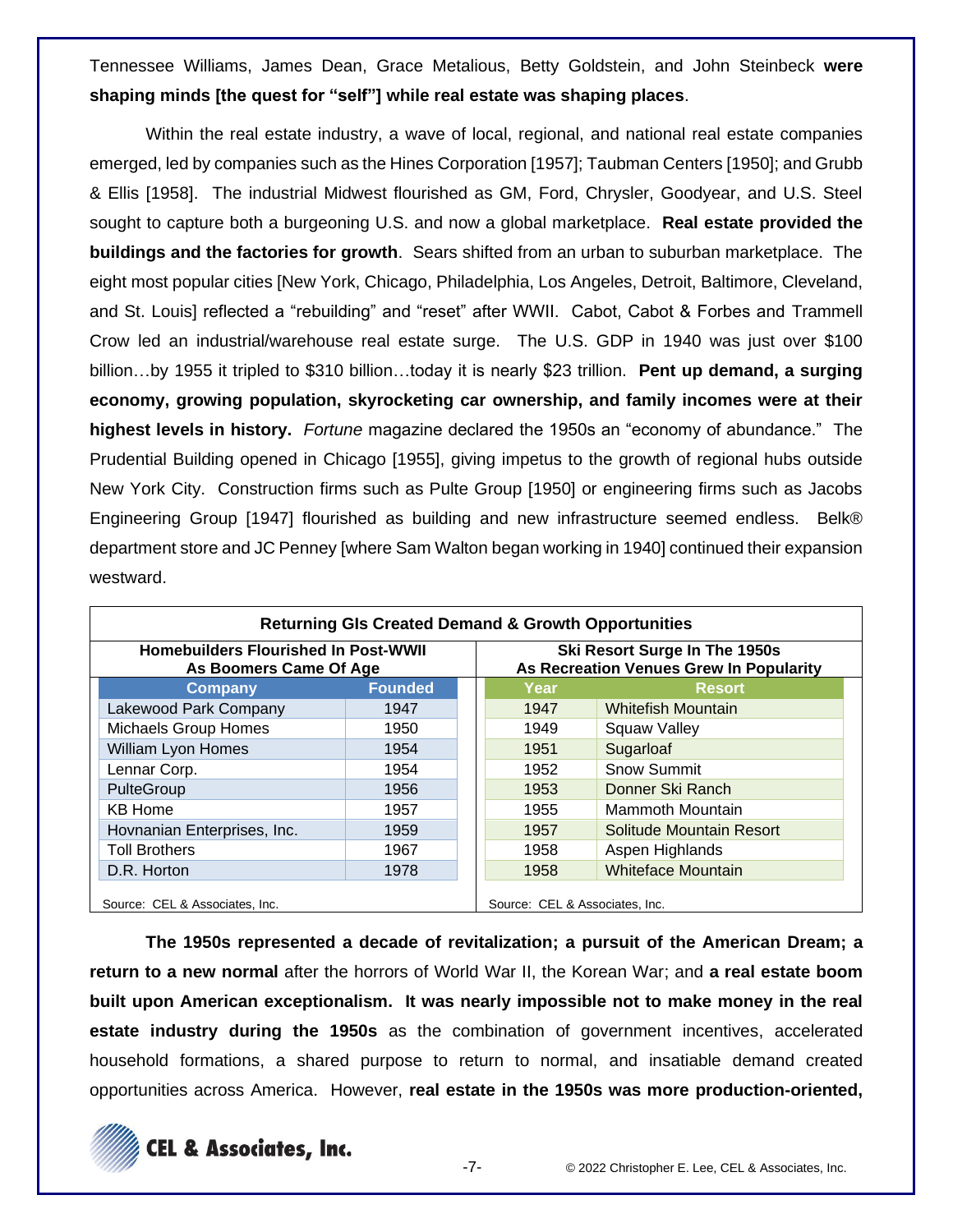Tennessee Williams, James Dean, Grace Metalious, Betty Goldstein, and John Steinbeck **were shaping minds [the quest for "self"] while real estate was shaping places**.

Within the real estate industry, a wave of local, regional, and national real estate companies emerged, led by companies such as the Hines Corporation [1957]; Taubman Centers [1950]; and Grubb & Ellis [1958]. The industrial Midwest flourished as GM, Ford, Chrysler, Goodyear, and U.S. Steel sought to capture both a burgeoning U.S. and now a global marketplace. **Real estate provided the buildings and the factories for growth**. Sears shifted from an urban to suburban marketplace. The eight most popular cities [New York, Chicago, Philadelphia, Los Angeles, Detroit, Baltimore, Cleveland, and St. Louis] reflected a "rebuilding" and "reset" after WWII. Cabot, Cabot & Forbes and Trammell Crow led an industrial/warehouse real estate surge. The U.S. GDP in 1940 was just over \$100 billion…by 1955 it tripled to \$310 billion…today it is nearly \$23 trillion. **Pent up demand, a surging economy, growing population, skyrocketing car ownership, and family incomes were at their highest levels in history.** *Fortune* magazine declared the 1950s an "economy of abundance." The Prudential Building opened in Chicago [1955], giving impetus to the growth of regional hubs outside New York City. Construction firms such as Pulte Group [1950] or engineering firms such as Jacobs Engineering Group [1947] flourished as building and new infrastructure seemed endless. Belk® department store and JC Penney [where Sam Walton began working in 1940] continued their expansion westward.

| <b>Returning GIs Created Demand &amp; Growth Opportunities</b>        |                |  |                                                                          |                           |  |  |  |
|-----------------------------------------------------------------------|----------------|--|--------------------------------------------------------------------------|---------------------------|--|--|--|
| <b>Homebuilders Flourished In Post-WWII</b><br>As Boomers Came Of Age |                |  | Ski Resort Surge In The 1950s<br>As Recreation Venues Grew In Popularity |                           |  |  |  |
| Company                                                               | <b>Founded</b> |  | Year                                                                     | <b>Resort</b>             |  |  |  |
| Lakewood Park Company                                                 | 1947           |  | 1947                                                                     | <b>Whitefish Mountain</b> |  |  |  |
| <b>Michaels Group Homes</b>                                           | 1950           |  | 1949                                                                     | <b>Squaw Valley</b>       |  |  |  |
| William Lyon Homes                                                    | 1954           |  | 1951                                                                     | Sugarloaf                 |  |  |  |
| Lennar Corp.                                                          | 1954           |  | 1952                                                                     | <b>Snow Summit</b>        |  |  |  |
| PulteGroup                                                            | 1956           |  | 1953                                                                     | Donner Ski Ranch          |  |  |  |
| <b>KB Home</b>                                                        | 1957           |  | 1955                                                                     | Mammoth Mountain          |  |  |  |
| Hovnanian Enterprises, Inc.                                           | 1959           |  | 1957                                                                     | Solitude Mountain Resort  |  |  |  |
| <b>Toll Brothers</b>                                                  | 1967           |  | 1958                                                                     | Aspen Highlands           |  |  |  |
| D.R. Horton                                                           | 1978           |  | 1958                                                                     | <b>Whiteface Mountain</b> |  |  |  |
| Source: CEL & Associates, Inc.                                        |                |  | Source: CEL & Associates, Inc.                                           |                           |  |  |  |

**The 1950s represented a decade of revitalization; a pursuit of the American Dream; a return to a new normal** after the horrors of World War II, the Korean War; and **a real estate boom built upon American exceptionalism. It was nearly impossible not to make money in the real estate industry during the 1950s** as the combination of government incentives, accelerated household formations, a shared purpose to return to normal, and insatiable demand created opportunities across America. However, **real estate in the 1950s was more production-oriented,**

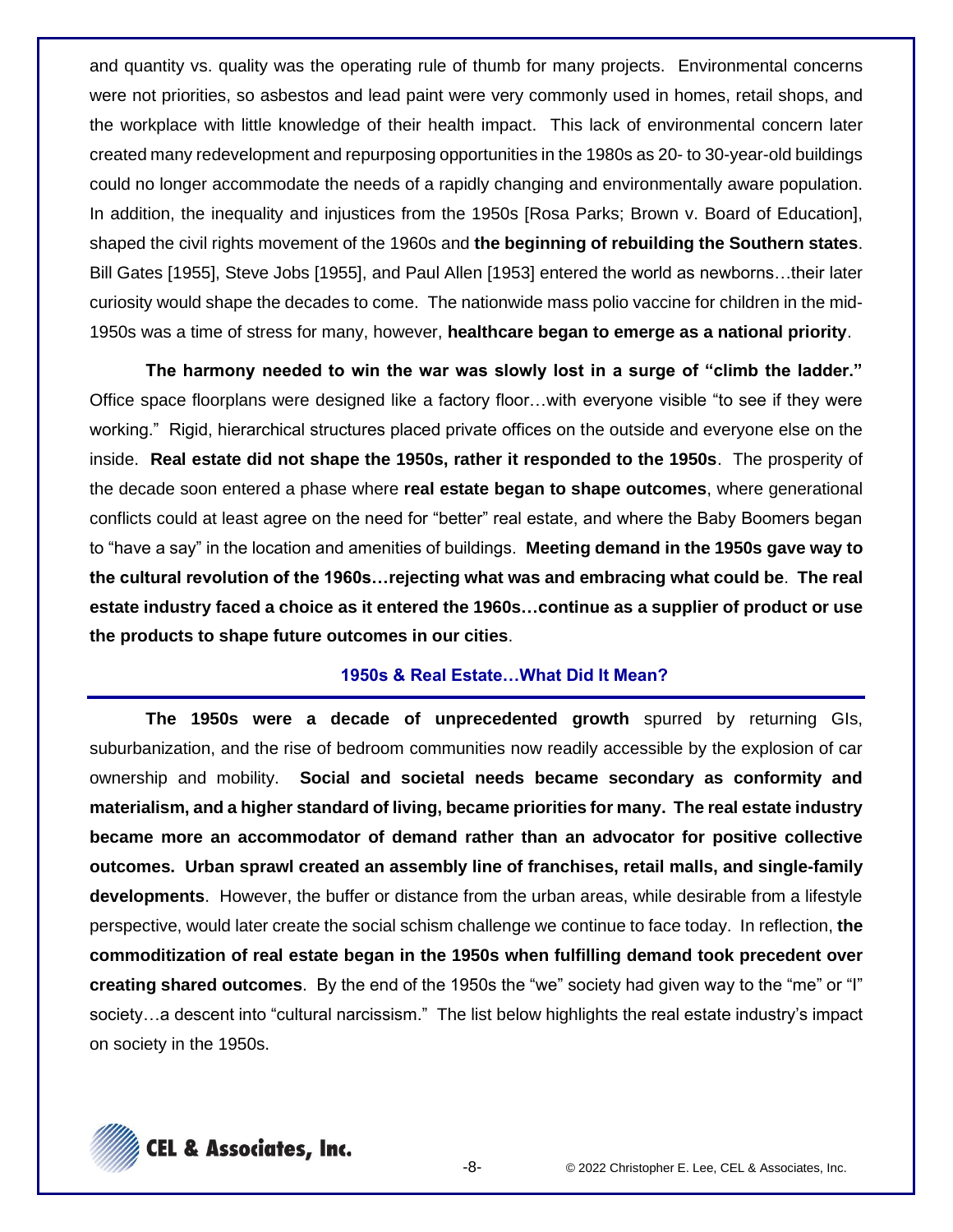and quantity vs. quality was the operating rule of thumb for many projects. Environmental concerns were not priorities, so asbestos and lead paint were very commonly used in homes, retail shops, and the workplace with little knowledge of their health impact. This lack of environmental concern later created many redevelopment and repurposing opportunities in the 1980s as 20- to 30-year-old buildings could no longer accommodate the needs of a rapidly changing and environmentally aware population. In addition, the inequality and injustices from the 1950s [Rosa Parks; Brown v. Board of Education], shaped the civil rights movement of the 1960s and **the beginning of rebuilding the Southern states**. Bill Gates [1955], Steve Jobs [1955], and Paul Allen [1953] entered the world as newborns…their later curiosity would shape the decades to come. The nationwide mass polio vaccine for children in the mid-1950s was a time of stress for many, however, **healthcare began to emerge as a national priority**.

**The harmony needed to win the war was slowly lost in a surge of "climb the ladder."**  Office space floorplans were designed like a factory floor…with everyone visible "to see if they were working." Rigid, hierarchical structures placed private offices on the outside and everyone else on the inside. **Real estate did not shape the 1950s, rather it responded to the 1950s**. The prosperity of the decade soon entered a phase where **real estate began to shape outcomes**, where generational conflicts could at least agree on the need for "better" real estate, and where the Baby Boomers began to "have a say" in the location and amenities of buildings. **Meeting demand in the 1950s gave way to the cultural revolution of the 1960s…rejecting what was and embracing what could be**. **The real estate industry faced a choice as it entered the 1960s…continue as a supplier of product or use the products to shape future outcomes in our cities**.

#### **1950s & Real Estate…What Did It Mean?**

**The 1950s were a decade of unprecedented growth** spurred by returning GIs, suburbanization, and the rise of bedroom communities now readily accessible by the explosion of car ownership and mobility. **Social and societal needs became secondary as conformity and materialism, and a higher standard of living, became priorities for many. The real estate industry became more an accommodator of demand rather than an advocator for positive collective outcomes. Urban sprawl created an assembly line of franchises, retail malls, and single-family developments**. However, the buffer or distance from the urban areas, while desirable from a lifestyle perspective, would later create the social schism challenge we continue to face today. In reflection, **the commoditization of real estate began in the 1950s when fulfilling demand took precedent over creating shared outcomes**. By the end of the 1950s the "we" society had given way to the "me" or "I" society…a descent into "cultural narcissism." The list below highlights the real estate industry's impact on society in the 1950s.

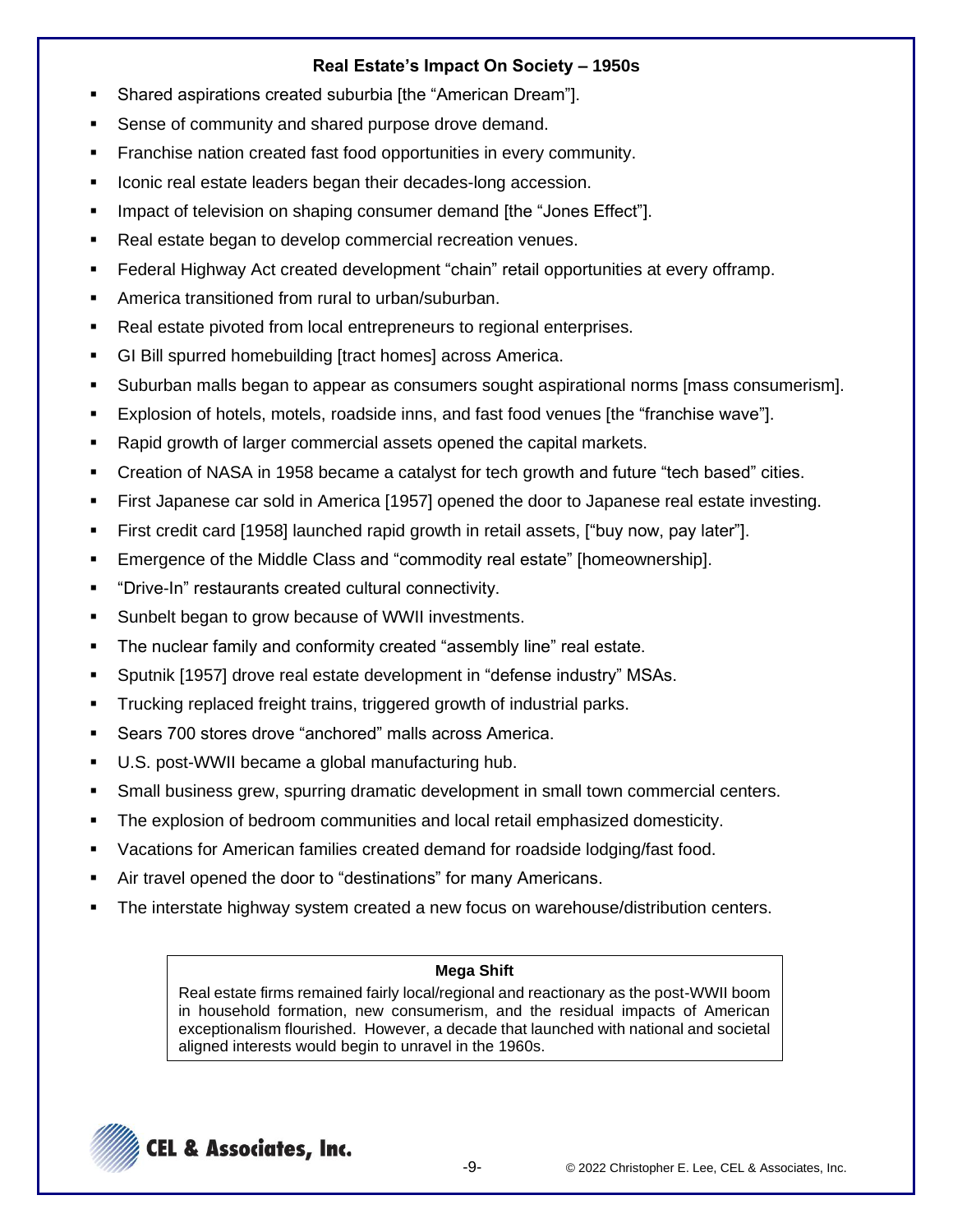# **Real Estate's Impact On Society – 1950s**

- Shared aspirations created suburbia [the "American Dream"].
- Sense of community and shared purpose drove demand.
- Franchise nation created fast food opportunities in every community.
- Iconic real estate leaders began their decades-long accession.
- Impact of television on shaping consumer demand [the "Jones Effect"].
- Real estate began to develop commercial recreation venues.
- Federal Highway Act created development "chain" retail opportunities at every offramp.
- America transitioned from rural to urban/suburban.
- Real estate pivoted from local entrepreneurs to regional enterprises.
- GI Bill spurred homebuilding [tract homes] across America.
- Suburban malls began to appear as consumers sought aspirational norms [mass consumerism].
- Explosion of hotels, motels, roadside inns, and fast food venues [the "franchise wave"].
- Rapid growth of larger commercial assets opened the capital markets.
- Creation of NASA in 1958 became a catalyst for tech growth and future "tech based" cities.
- First Japanese car sold in America [1957] opened the door to Japanese real estate investing.
- First credit card [1958] launched rapid growth in retail assets, ["buy now, pay later"].
- Emergence of the Middle Class and "commodity real estate" [homeownership].
- "Drive-In" restaurants created cultural connectivity.
- Sunbelt began to grow because of WWII investments.
- The nuclear family and conformity created "assembly line" real estate.
- Sputnik [1957] drove real estate development in "defense industry" MSAs.
- Trucking replaced freight trains, triggered growth of industrial parks.
- Sears 700 stores drove "anchored" malls across America.
- U.S. post-WWII became a global manufacturing hub.
- Small business grew, spurring dramatic development in small town commercial centers.
- **The explosion of bedroom communities and local retail emphasized domesticity.**
- Vacations for American families created demand for roadside lodging/fast food.
- Air travel opened the door to "destinations" for many Americans.
- The interstate highway system created a new focus on warehouse/distribution centers.

# **Mega Shift**

Real estate firms remained fairly local/regional and reactionary as the post-WWII boom in household formation, new consumerism, and the residual impacts of American exceptionalism flourished. However, a decade that launched with national and societal aligned interests would begin to unravel in the 1960s.

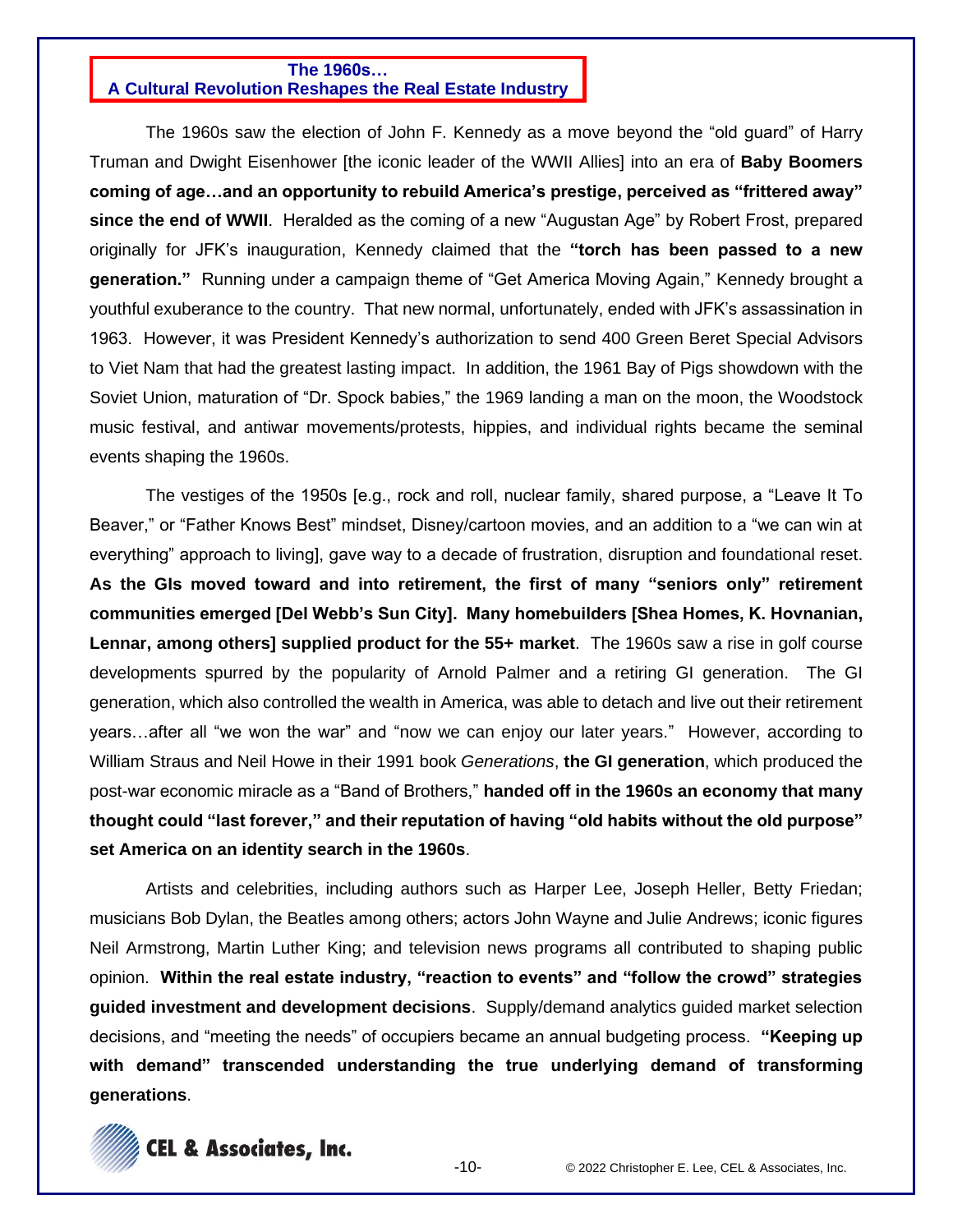#### **The 1960s…**

#### **A Cultural Revolution Reshapes the Real Estate Industry**

The 1960s saw the election of John F. Kennedy as a move beyond the "old guard" of Harry Truman and Dwight Eisenhower [the iconic leader of the WWII Allies] into an era of **Baby Boomers coming of age…and an opportunity to rebuild America's prestige, perceived as "frittered away" since the end of WWII**. Heralded as the coming of a new "Augustan Age" by Robert Frost, prepared originally for JFK's inauguration, Kennedy claimed that the **"torch has been passed to a new generation."** Running under a campaign theme of "Get America Moving Again," Kennedy brought a youthful exuberance to the country. That new normal, unfortunately, ended with JFK's assassination in 1963. However, it was President Kennedy's authorization to send 400 Green Beret Special Advisors to Viet Nam that had the greatest lasting impact. In addition, the 1961 Bay of Pigs showdown with the Soviet Union, maturation of "Dr. Spock babies," the 1969 landing a man on the moon, the Woodstock music festival, and antiwar movements/protests, hippies, and individual rights became the seminal events shaping the 1960s.

The vestiges of the 1950s [e.g., rock and roll, nuclear family, shared purpose, a "Leave It To Beaver," or "Father Knows Best" mindset, Disney/cartoon movies, and an addition to a "we can win at everything" approach to living], gave way to a decade of frustration, disruption and foundational reset. **As the GIs moved toward and into retirement, the first of many "seniors only" retirement communities emerged [Del Webb's Sun City]. Many homebuilders [Shea Homes, K. Hovnanian, Lennar, among others] supplied product for the 55+ market**. The 1960s saw a rise in golf course developments spurred by the popularity of Arnold Palmer and a retiring GI generation. The GI generation, which also controlled the wealth in America, was able to detach and live out their retirement years…after all "we won the war" and "now we can enjoy our later years." However, according to William Straus and Neil Howe in their 1991 book *Generations*, **the GI generation**, which produced the post-war economic miracle as a "Band of Brothers," **handed off in the 1960s an economy that many thought could "last forever," and their reputation of having "old habits without the old purpose" set America on an identity search in the 1960s**.

Artists and celebrities, including authors such as Harper Lee, Joseph Heller, Betty Friedan; musicians Bob Dylan, the Beatles among others; actors John Wayne and Julie Andrews; iconic figures Neil Armstrong, Martin Luther King; and television news programs all contributed to shaping public opinion. **Within the real estate industry, "reaction to events" and "follow the crowd" strategies guided investment and development decisions**. Supply/demand analytics guided market selection decisions, and "meeting the needs" of occupiers became an annual budgeting process. **"Keeping up with demand" transcended understanding the true underlying demand of transforming generations**.

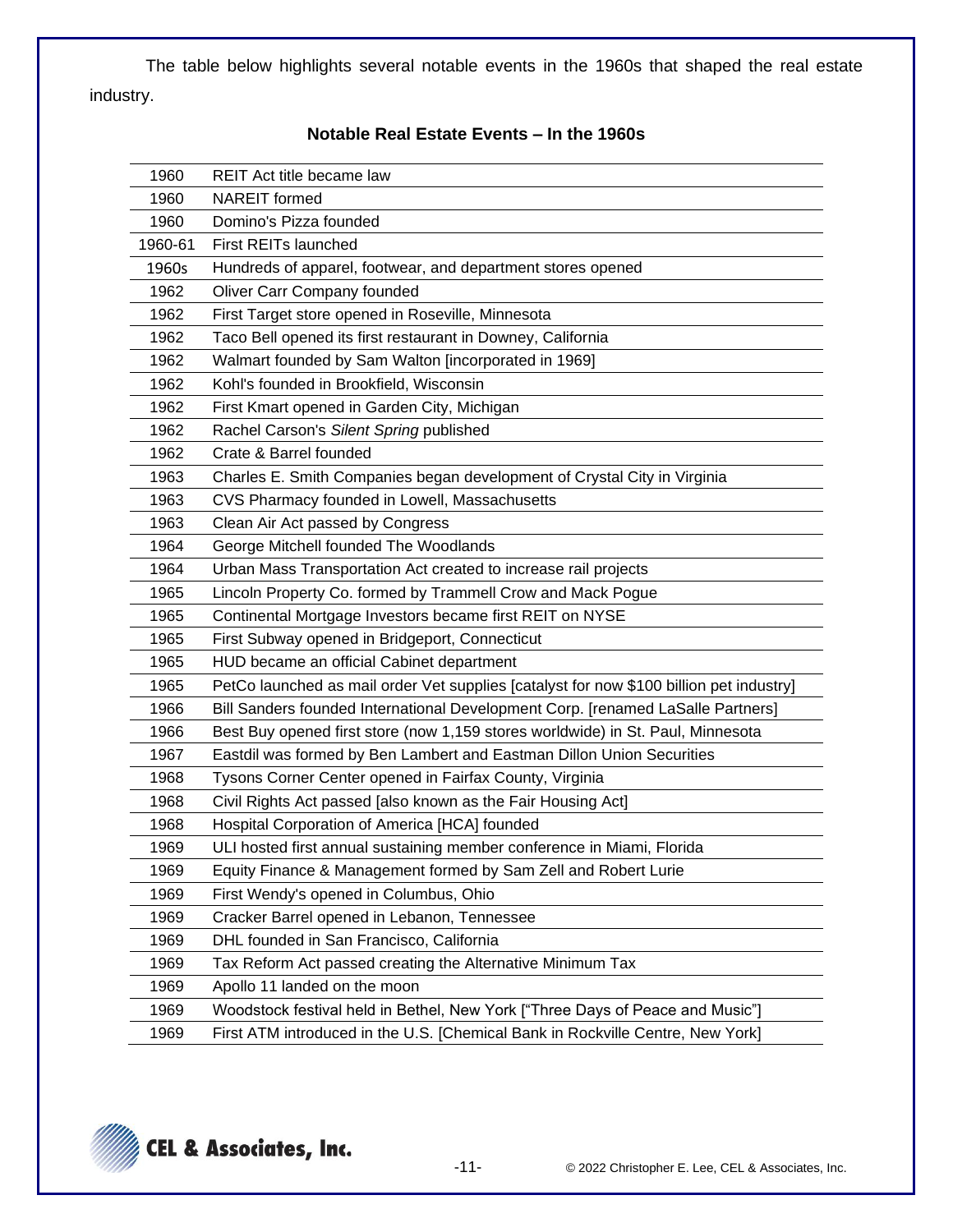The table below highlights several notable events in the 1960s that shaped the real estate industry.

| 1960    | <b>REIT</b> Act title became law                                                        |
|---------|-----------------------------------------------------------------------------------------|
| 1960    | <b>NAREIT</b> formed                                                                    |
| 1960    | Domino's Pizza founded                                                                  |
| 1960-61 | <b>First REITs launched</b>                                                             |
| 1960s   | Hundreds of apparel, footwear, and department stores opened                             |
| 1962    | Oliver Carr Company founded                                                             |
| 1962    | First Target store opened in Roseville, Minnesota                                       |
| 1962    | Taco Bell opened its first restaurant in Downey, California                             |
| 1962    | Walmart founded by Sam Walton [incorporated in 1969]                                    |
| 1962    | Kohl's founded in Brookfield, Wisconsin                                                 |
| 1962    | First Kmart opened in Garden City, Michigan                                             |
| 1962    | Rachel Carson's Silent Spring published                                                 |
| 1962    | Crate & Barrel founded                                                                  |
| 1963    | Charles E. Smith Companies began development of Crystal City in Virginia                |
| 1963    | CVS Pharmacy founded in Lowell, Massachusetts                                           |
| 1963    | Clean Air Act passed by Congress                                                        |
| 1964    | George Mitchell founded The Woodlands                                                   |
| 1964    | Urban Mass Transportation Act created to increase rail projects                         |
| 1965    | Lincoln Property Co. formed by Trammell Crow and Mack Pogue                             |
| 1965    | Continental Mortgage Investors became first REIT on NYSE                                |
| 1965    | First Subway opened in Bridgeport, Connecticut                                          |
| 1965    | HUD became an official Cabinet department                                               |
| 1965    | PetCo launched as mail order Vet supplies [catalyst for now \$100 billion pet industry] |
| 1966    | Bill Sanders founded International Development Corp. [renamed LaSalle Partners]         |
| 1966    | Best Buy opened first store (now 1,159 stores worldwide) in St. Paul, Minnesota         |
| 1967    | Eastdil was formed by Ben Lambert and Eastman Dillon Union Securities                   |
| 1968    | Tysons Corner Center opened in Fairfax County, Virginia                                 |
| 1968    | Civil Rights Act passed [also known as the Fair Housing Act]                            |
| 1968    | Hospital Corporation of America [HCA] founded                                           |
| 1969    | ULI hosted first annual sustaining member conference in Miami, Florida                  |
| 1969    | Equity Finance & Management formed by Sam Zell and Robert Lurie                         |
| 1969    | First Wendy's opened in Columbus, Ohio                                                  |
| 1969    | Cracker Barrel opened in Lebanon, Tennessee                                             |
| 1969    | DHL founded in San Francisco, California                                                |
| 1969    | Tax Reform Act passed creating the Alternative Minimum Tax                              |
| 1969    | Apollo 11 landed on the moon                                                            |
| 1969    | Woodstock festival held in Bethel, New York ["Three Days of Peace and Music"]           |
| 1969    | First ATM introduced in the U.S. [Chemical Bank in Rockville Centre, New York]          |

#### **Notable Real Estate Events – In the 1960s**

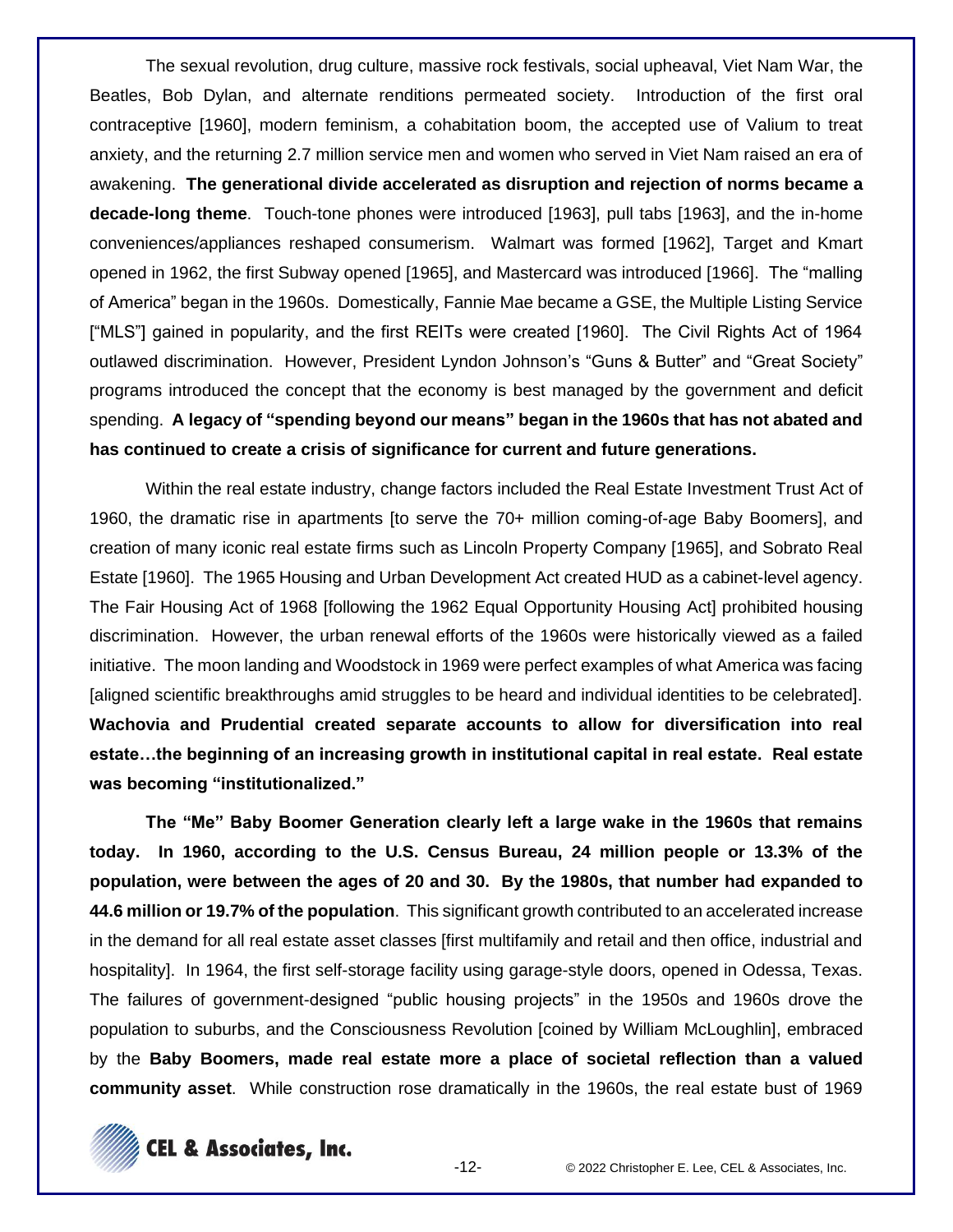The sexual revolution, drug culture, massive rock festivals, social upheaval, Viet Nam War, the Beatles, Bob Dylan, and alternate renditions permeated society. Introduction of the first oral contraceptive [1960], modern feminism, a cohabitation boom, the accepted use of Valium to treat anxiety, and the returning 2.7 million service men and women who served in Viet Nam raised an era of awakening. **The generational divide accelerated as disruption and rejection of norms became a decade-long theme**. Touch-tone phones were introduced [1963], pull tabs [1963], and the in-home conveniences/appliances reshaped consumerism. Walmart was formed [1962], Target and Kmart opened in 1962, the first Subway opened [1965], and Mastercard was introduced [1966]. The "malling of America" began in the 1960s. Domestically, Fannie Mae became a GSE, the Multiple Listing Service ["MLS"] gained in popularity, and the first REITs were created [1960]. The Civil Rights Act of 1964 outlawed discrimination. However, President Lyndon Johnson's "Guns & Butter" and "Great Society" programs introduced the concept that the economy is best managed by the government and deficit spending. **A legacy of "spending beyond our means" began in the 1960s that has not abated and has continued to create a crisis of significance for current and future generations.**

Within the real estate industry, change factors included the Real Estate Investment Trust Act of 1960, the dramatic rise in apartments [to serve the 70+ million coming-of-age Baby Boomers], and creation of many iconic real estate firms such as Lincoln Property Company [1965], and Sobrato Real Estate [1960]. The 1965 Housing and Urban Development Act created HUD as a cabinet-level agency. The Fair Housing Act of 1968 [following the 1962 Equal Opportunity Housing Act] prohibited housing discrimination. However, the urban renewal efforts of the 1960s were historically viewed as a failed initiative. The moon landing and Woodstock in 1969 were perfect examples of what America was facing [aligned scientific breakthroughs amid struggles to be heard and individual identities to be celebrated]. **Wachovia and Prudential created separate accounts to allow for diversification into real estate…the beginning of an increasing growth in institutional capital in real estate. Real estate was becoming "institutionalized."**

**The "Me" Baby Boomer Generation clearly left a large wake in the 1960s that remains today. In 1960, according to the U.S. Census Bureau, 24 million people or 13.3% of the population, were between the ages of 20 and 30. By the 1980s, that number had expanded to 44.6 million or 19.7% of the population**. This significant growth contributed to an accelerated increase in the demand for all real estate asset classes [first multifamily and retail and then office, industrial and hospitality]. In 1964, the first self-storage facility using garage-style doors, opened in Odessa, Texas. The failures of government-designed "public housing projects" in the 1950s and 1960s drove the population to suburbs, and the Consciousness Revolution [coined by William McLoughlin], embraced by the **Baby Boomers, made real estate more a place of societal reflection than a valued community asset**. While construction rose dramatically in the 1960s, the real estate bust of 1969

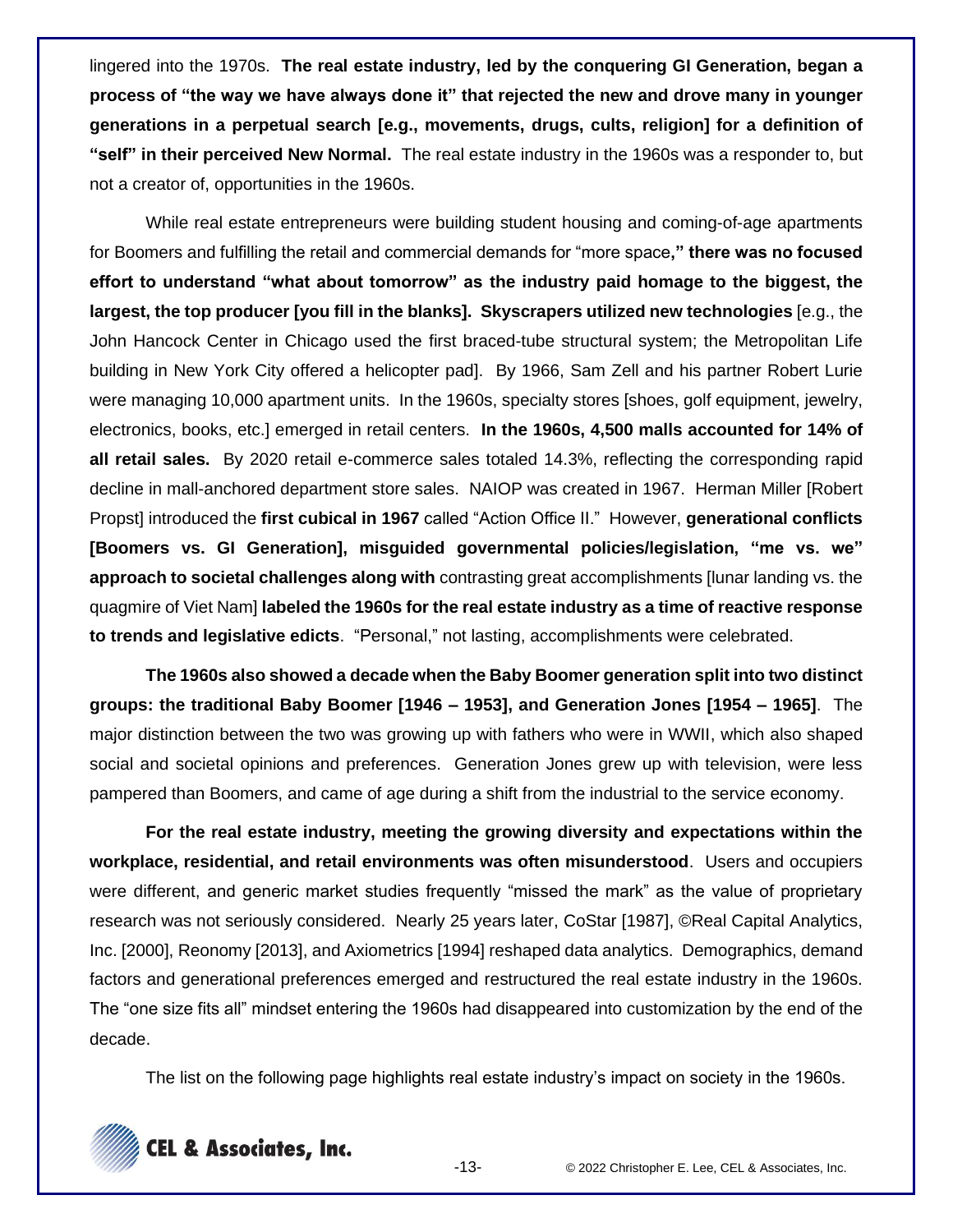lingered into the 1970s. **The real estate industry, led by the conquering GI Generation, began a process of "the way we have always done it" that rejected the new and drove many in younger generations in a perpetual search [e.g., movements, drugs, cults, religion] for a definition of "self" in their perceived New Normal.** The real estate industry in the 1960s was a responder to, but not a creator of, opportunities in the 1960s.

While real estate entrepreneurs were building student housing and coming-of-age apartments for Boomers and fulfilling the retail and commercial demands for "more space**," there was no focused effort to understand "what about tomorrow" as the industry paid homage to the biggest, the largest, the top producer [you fill in the blanks]. Skyscrapers utilized new technologies** [e.g., the John Hancock Center in Chicago used the first braced-tube structural system; the Metropolitan Life building in New York City offered a helicopter pad]. By 1966, Sam Zell and his partner Robert Lurie were managing 10,000 apartment units. In the 1960s, specialty stores [shoes, golf equipment, jewelry, electronics, books, etc.] emerged in retail centers. **In the 1960s, 4,500 malls accounted for 14% of all retail sales.** By 2020 retail e-commerce sales totaled 14.3%, reflecting the corresponding rapid decline in mall-anchored department store sales. NAIOP was created in 1967. Herman Miller [Robert Propst] introduced the **first cubical in 1967** called "Action Office II." However, **generational conflicts [Boomers vs. GI Generation], misguided governmental policies/legislation, "me vs. we" approach to societal challenges along with** contrasting great accomplishments [lunar landing vs. the quagmire of Viet Nam] **labeled the 1960s for the real estate industry as a time of reactive response to trends and legislative edicts**. "Personal," not lasting, accomplishments were celebrated.

**The 1960s also showed a decade when the Baby Boomer generation split into two distinct groups: the traditional Baby Boomer [1946 – 1953], and Generation Jones [1954 – 1965]**. The major distinction between the two was growing up with fathers who were in WWII, which also shaped social and societal opinions and preferences. Generation Jones grew up with television, were less pampered than Boomers, and came of age during a shift from the industrial to the service economy.

**For the real estate industry, meeting the growing diversity and expectations within the workplace, residential, and retail environments was often misunderstood**. Users and occupiers were different, and generic market studies frequently "missed the mark" as the value of proprietary research was not seriously considered. Nearly 25 years later, CoStar [1987], ©Real Capital Analytics, Inc. [2000], Reonomy [2013], and Axiometrics [1994] reshaped data analytics. Demographics, demand factors and generational preferences emerged and restructured the real estate industry in the 1960s. The "one size fits all" mindset entering the 1960s had disappeared into customization by the end of the decade.

The list on the following page highlights real estate industry's impact on society in the 1960s.

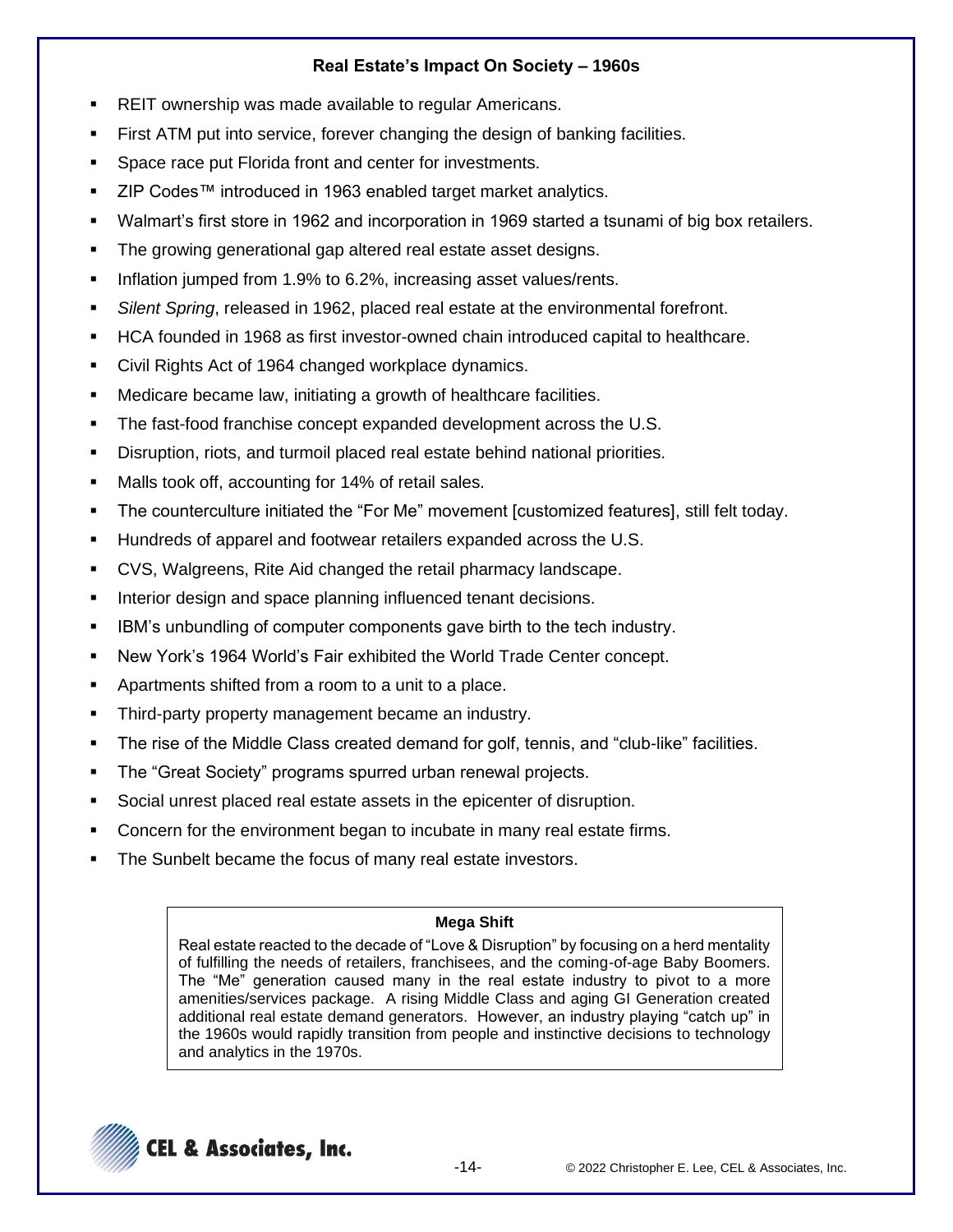# **Real Estate's Impact On Society – 1960s**

- REIT ownership was made available to regular Americans.
- First ATM put into service, forever changing the design of banking facilities.
- Space race put Florida front and center for investments.
- ZIP Codes™ introduced in 1963 enabled target market analytics.
- Walmart's first store in 1962 and incorporation in 1969 started a tsunami of big box retailers.
- The growing generational gap altered real estate asset designs.
- **■** Inflation jumped from 1.9% to 6.2%, increasing asset values/rents.
- **EXALLERT Server** *Spring*, released in 1962, placed real estate at the environmental forefront.
- HCA founded in 1968 as first investor-owned chain introduced capital to healthcare.
- Civil Rights Act of 1964 changed workplace dynamics.
- Medicare became law, initiating a growth of healthcare facilities.
- The fast-food franchise concept expanded development across the U.S.
- Disruption, riots, and turmoil placed real estate behind national priorities.
- Malls took off, accounting for 14% of retail sales.
- **The counterculture initiated the "For Me" movement [customized features], still felt today.**
- Hundreds of apparel and footwear retailers expanded across the U.S.
- CVS, Walgreens, Rite Aid changed the retail pharmacy landscape.
- **EXEDENT** Interior design and space planning influenced tenant decisions.
- **IBM's unbundling of computer components gave birth to the tech industry.**
- New York's 1964 World's Fair exhibited the World Trade Center concept.
- Apartments shifted from a room to a unit to a place.
- Third-party property management became an industry.
- The rise of the Middle Class created demand for golf, tennis, and "club-like" facilities.
- The "Great Society" programs spurred urban renewal projects.
- Social unrest placed real estate assets in the epicenter of disruption.
- Concern for the environment began to incubate in many real estate firms.
- The Sunbelt became the focus of many real estate investors.

## **Mega Shift**

Real estate reacted to the decade of "Love & Disruption" by focusing on a herd mentality of fulfilling the needs of retailers, franchisees, and the coming-of-age Baby Boomers. The "Me" generation caused many in the real estate industry to pivot to a more amenities/services package. A rising Middle Class and aging GI Generation created additional real estate demand generators. However, an industry playing "catch up" in the 1960s would rapidly transition from people and instinctive decisions to technology and analytics in the 1970s.

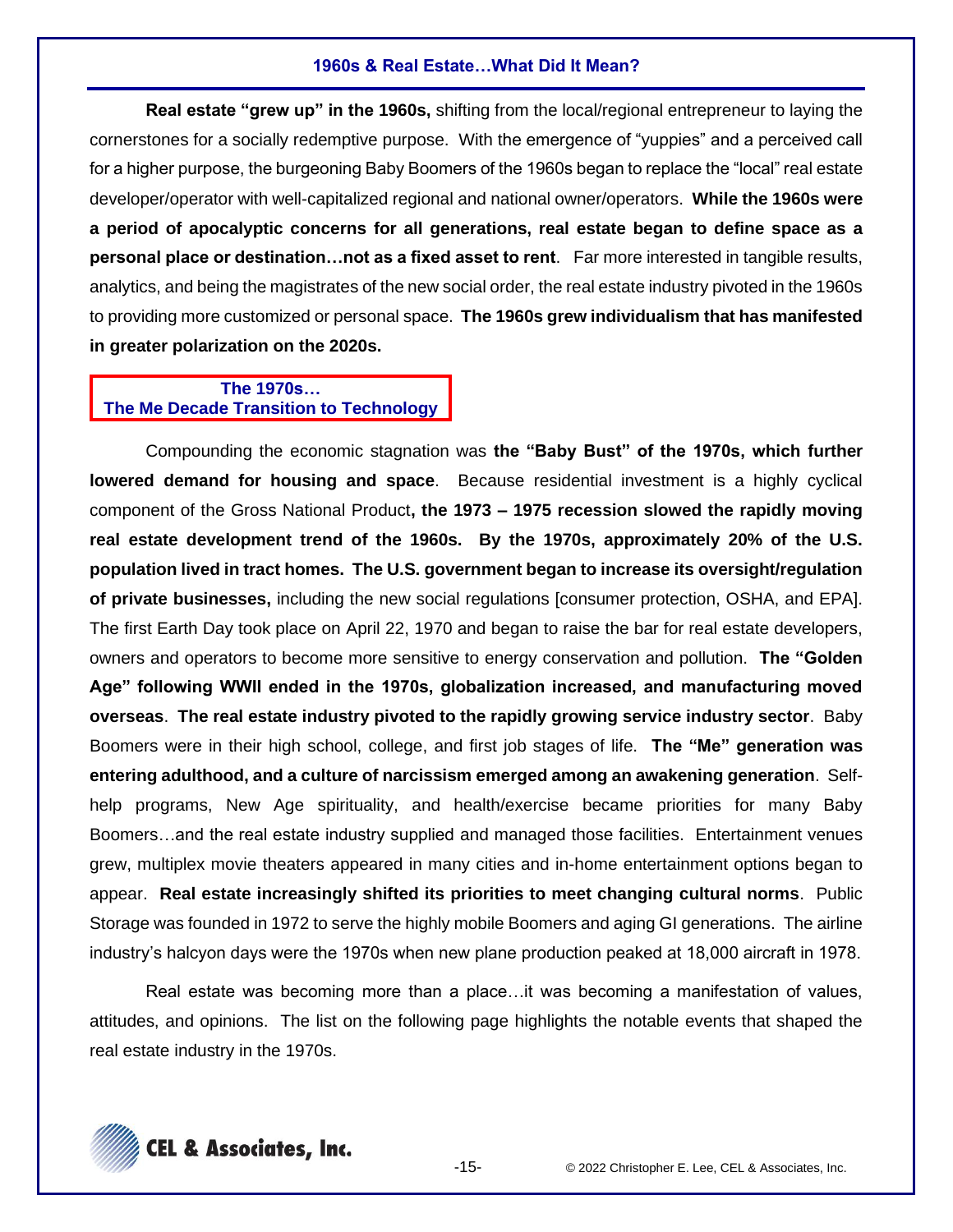#### **1960s & Real Estate…What Did It Mean?**

**Real estate "grew up" in the 1960s,** shifting from the local/regional entrepreneur to laying the cornerstones for a socially redemptive purpose. With the emergence of "yuppies" and a perceived call for a higher purpose, the burgeoning Baby Boomers of the 1960s began to replace the "local" real estate developer/operator with well-capitalized regional and national owner/operators. **While the 1960s were a period of apocalyptic concerns for all generations, real estate began to define space as a personal place or destination…not as a fixed asset to rent**. Far more interested in tangible results, analytics, and being the magistrates of the new social order, the real estate industry pivoted in the 1960s to providing more customized or personal space. **The 1960s grew individualism that has manifested in greater polarization on the 2020s.**

## **The 1970s… The Me Decade Transition to Technology**

Compounding the economic stagnation was **the "Baby Bust" of the 1970s, which further lowered demand for housing and space**. Because residential investment is a highly cyclical component of the Gross National Product**, the 1973 – 1975 recession slowed the rapidly moving real estate development trend of the 1960s. By the 1970s, approximately 20% of the U.S. population lived in tract homes. The U.S. government began to increase its oversight/regulation of private businesses,** including the new social regulations [consumer protection, OSHA, and EPA]. The first Earth Day took place on April 22, 1970 and began to raise the bar for real estate developers, owners and operators to become more sensitive to energy conservation and pollution. **The "Golden Age" following WWII ended in the 1970s, globalization increased, and manufacturing moved overseas**. **The real estate industry pivoted to the rapidly growing service industry sector**. Baby Boomers were in their high school, college, and first job stages of life. **The "Me" generation was entering adulthood, and a culture of narcissism emerged among an awakening generation**. Selfhelp programs, New Age spirituality, and health/exercise became priorities for many Baby Boomers…and the real estate industry supplied and managed those facilities. Entertainment venues grew, multiplex movie theaters appeared in many cities and in-home entertainment options began to appear. **Real estate increasingly shifted its priorities to meet changing cultural norms**. Public Storage was founded in 1972 to serve the highly mobile Boomers and aging GI generations. The airline industry's halcyon days were the 1970s when new plane production peaked at 18,000 aircraft in 1978.

Real estate was becoming more than a place…it was becoming a manifestation of values, attitudes, and opinions. The list on the following page highlights the notable events that shaped the real estate industry in the 1970s.

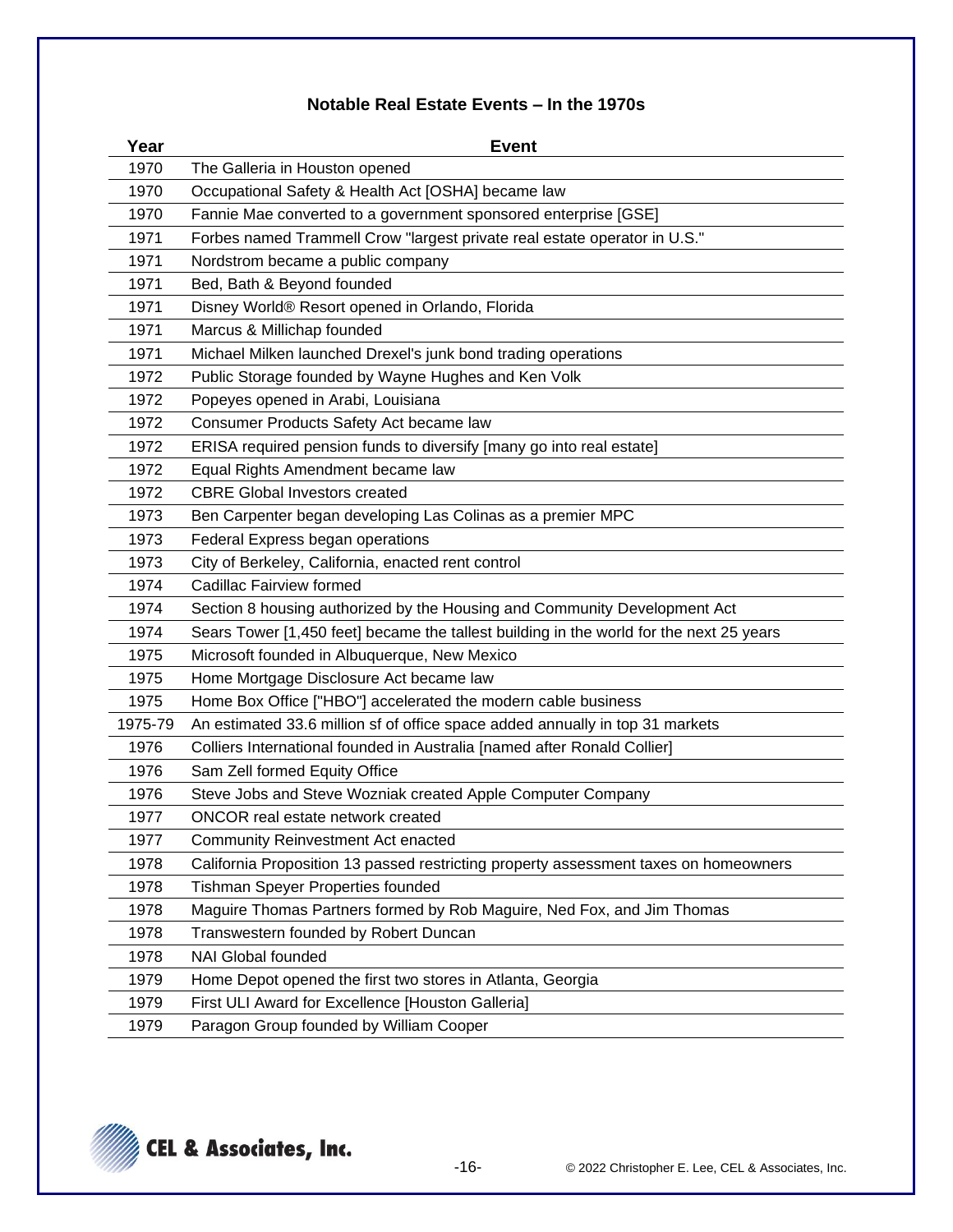# **Notable Real Estate Events – In the 1970s**

| Year    | <b>Event</b>                                                                            |  |  |  |  |
|---------|-----------------------------------------------------------------------------------------|--|--|--|--|
| 1970    | The Galleria in Houston opened                                                          |  |  |  |  |
| 1970    | Occupational Safety & Health Act [OSHA] became law                                      |  |  |  |  |
| 1970    | Fannie Mae converted to a government sponsored enterprise [GSE]                         |  |  |  |  |
| 1971    | Forbes named Trammell Crow "largest private real estate operator in U.S."               |  |  |  |  |
| 1971    | Nordstrom became a public company                                                       |  |  |  |  |
| 1971    | Bed, Bath & Beyond founded                                                              |  |  |  |  |
| 1971    | Disney World® Resort opened in Orlando, Florida                                         |  |  |  |  |
| 1971    | Marcus & Millichap founded                                                              |  |  |  |  |
| 1971    | Michael Milken launched Drexel's junk bond trading operations                           |  |  |  |  |
| 1972    | Public Storage founded by Wayne Hughes and Ken Volk                                     |  |  |  |  |
| 1972    | Popeyes opened in Arabi, Louisiana                                                      |  |  |  |  |
| 1972    | Consumer Products Safety Act became law                                                 |  |  |  |  |
| 1972    | ERISA required pension funds to diversify [many go into real estate]                    |  |  |  |  |
| 1972    | Equal Rights Amendment became law                                                       |  |  |  |  |
| 1972    | <b>CBRE Global Investors created</b>                                                    |  |  |  |  |
| 1973    | Ben Carpenter began developing Las Colinas as a premier MPC                             |  |  |  |  |
| 1973    | Federal Express began operations                                                        |  |  |  |  |
| 1973    | City of Berkeley, California, enacted rent control                                      |  |  |  |  |
| 1974    | Cadillac Fairview formed                                                                |  |  |  |  |
| 1974    | Section 8 housing authorized by the Housing and Community Development Act               |  |  |  |  |
| 1974    | Sears Tower [1,450 feet] became the tallest building in the world for the next 25 years |  |  |  |  |
| 1975    | Microsoft founded in Albuquerque, New Mexico                                            |  |  |  |  |
| 1975    | Home Mortgage Disclosure Act became law                                                 |  |  |  |  |
| 1975    | Home Box Office ["HBO"] accelerated the modern cable business                           |  |  |  |  |
| 1975-79 | An estimated 33.6 million sf of office space added annually in top 31 markets           |  |  |  |  |
| 1976    | Colliers International founded in Australia [named after Ronald Collier]                |  |  |  |  |
| 1976    | Sam Zell formed Equity Office                                                           |  |  |  |  |
| 1976    | Steve Jobs and Steve Wozniak created Apple Computer Company                             |  |  |  |  |
| 1977    | ONCOR real estate network created                                                       |  |  |  |  |
| 1977    | <b>Community Reinvestment Act enacted</b>                                               |  |  |  |  |
| 1978    | California Proposition 13 passed restricting property assessment taxes on homeowners    |  |  |  |  |
| 1978    | Tishman Speyer Properties founded                                                       |  |  |  |  |
| 1978    | Maguire Thomas Partners formed by Rob Maguire, Ned Fox, and Jim Thomas                  |  |  |  |  |
| 1978    | Transwestern founded by Robert Duncan                                                   |  |  |  |  |
| 1978    | NAI Global founded                                                                      |  |  |  |  |
| 1979    | Home Depot opened the first two stores in Atlanta, Georgia                              |  |  |  |  |
| 1979    | First ULI Award for Excellence [Houston Galleria]                                       |  |  |  |  |
| 1979    | Paragon Group founded by William Cooper                                                 |  |  |  |  |

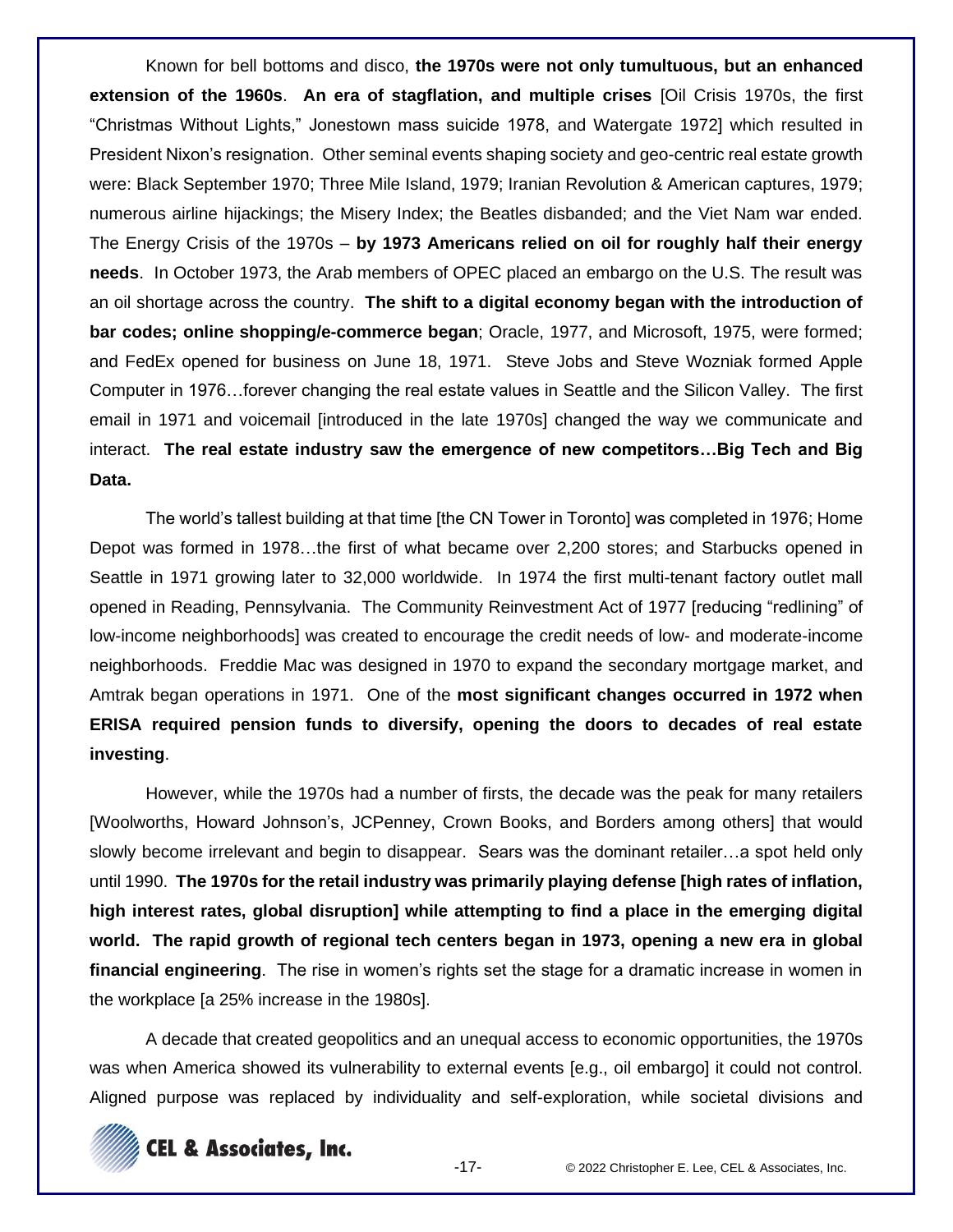Known for bell bottoms and disco, **the 1970s were not only tumultuous, but an enhanced extension of the 1960s**. **An era of stagflation, and multiple crises** [Oil Crisis 1970s, the first "Christmas Without Lights," Jonestown mass suicide 1978, and Watergate 1972] which resulted in President Nixon's resignation. Other seminal events shaping society and geo-centric real estate growth were: Black September 1970; Three Mile Island, 1979; Iranian Revolution & American captures, 1979; numerous airline hijackings; the Misery Index; the Beatles disbanded; and the Viet Nam war ended. The Energy Crisis of the 1970s – **by 1973 Americans relied on oil for roughly half their energy needs**. In October 1973, the Arab members of OPEC placed an embargo on the U.S. The result was an oil shortage across the country. **The shift to a digital economy began with the introduction of bar codes; online shopping/e-commerce began**; Oracle, 1977, and Microsoft, 1975, were formed; and FedEx opened for business on June 18, 1971. Steve Jobs and Steve Wozniak formed Apple Computer in 1976…forever changing the real estate values in Seattle and the Silicon Valley. The first email in 1971 and voicemail [introduced in the late 1970s] changed the way we communicate and interact. **The real estate industry saw the emergence of new competitors…Big Tech and Big Data.**

The world's tallest building at that time [the CN Tower in Toronto] was completed in 1976; Home Depot was formed in 1978…the first of what became over 2,200 stores; and Starbucks opened in Seattle in 1971 growing later to 32,000 worldwide. In 1974 the first multi-tenant factory outlet mall opened in Reading, Pennsylvania. The Community Reinvestment Act of 1977 [reducing "redlining" of low-income neighborhoods] was created to encourage the credit needs of low- and moderate-income neighborhoods. Freddie Mac was designed in 1970 to expand the secondary mortgage market, and Amtrak began operations in 1971. One of the **most significant changes occurred in 1972 when ERISA required pension funds to diversify, opening the doors to decades of real estate investing**.

However, while the 1970s had a number of firsts, the decade was the peak for many retailers [Woolworths, Howard Johnson's, JCPenney, Crown Books, and Borders among others] that would slowly become irrelevant and begin to disappear. Sears was the dominant retailer…a spot held only until 1990. **The 1970s for the retail industry was primarily playing defense [high rates of inflation, high interest rates, global disruption] while attempting to find a place in the emerging digital world. The rapid growth of regional tech centers began in 1973, opening a new era in global financial engineering**. The rise in women's rights set the stage for a dramatic increase in women in the workplace [a 25% increase in the 1980s].

A decade that created geopolitics and an unequal access to economic opportunities, the 1970s was when America showed its vulnerability to external events [e.g., oil embargo] it could not control. Aligned purpose was replaced by individuality and self-exploration, while societal divisions and

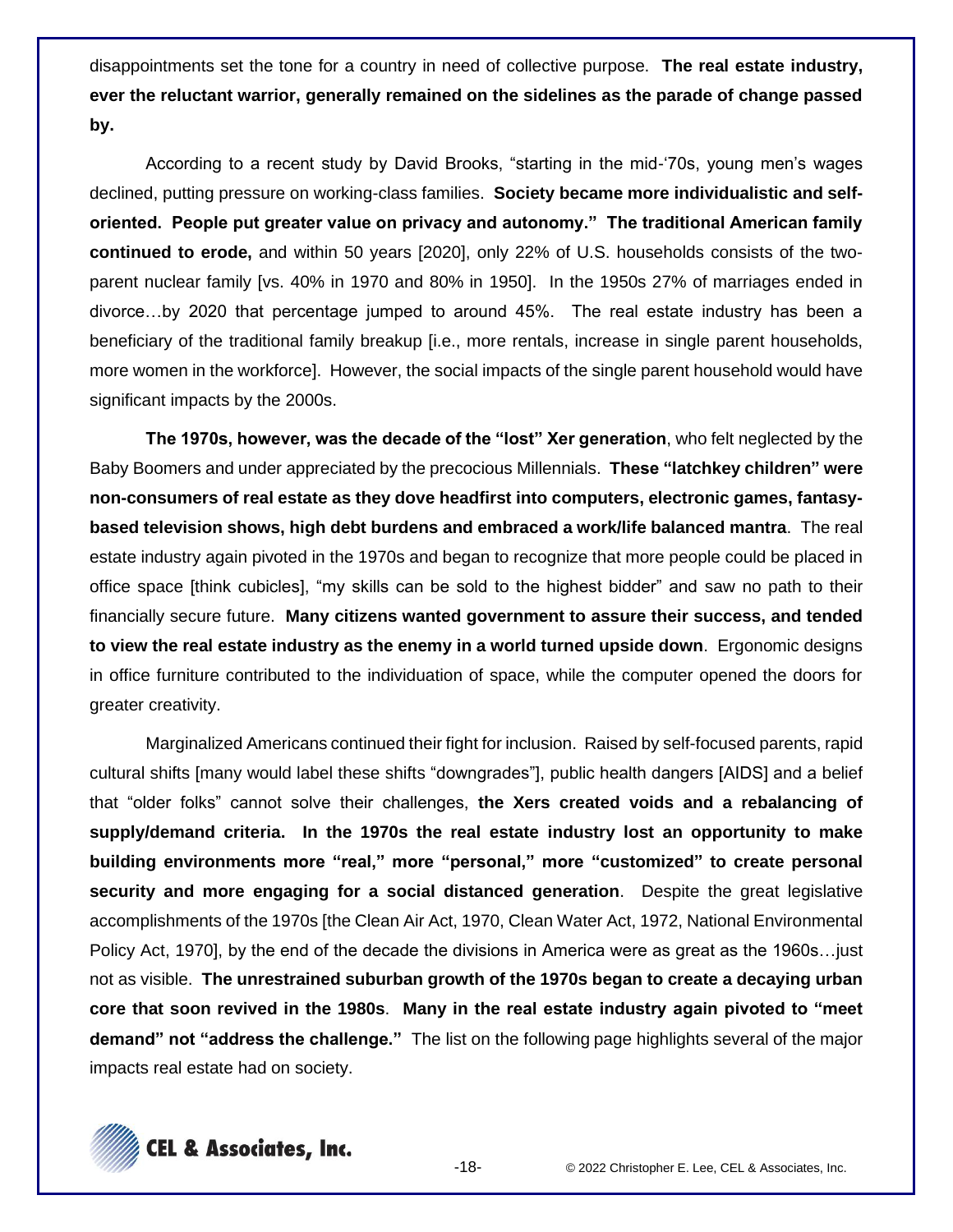disappointments set the tone for a country in need of collective purpose. **The real estate industry, ever the reluctant warrior, generally remained on the sidelines as the parade of change passed by.**

According to a recent study by David Brooks, "starting in the mid-'70s, young men's wages declined, putting pressure on working-class families. **Society became more individualistic and selforiented. People put greater value on privacy and autonomy." The traditional American family continued to erode,** and within 50 years [2020], only 22% of U.S. households consists of the twoparent nuclear family [vs. 40% in 1970 and 80% in 1950]. In the 1950s 27% of marriages ended in divorce…by 2020 that percentage jumped to around 45%. The real estate industry has been a beneficiary of the traditional family breakup [i.e., more rentals, increase in single parent households, more women in the workforce]. However, the social impacts of the single parent household would have significant impacts by the 2000s.

**The 1970s, however, was the decade of the "lost" Xer generation**, who felt neglected by the Baby Boomers and under appreciated by the precocious Millennials. **These "latchkey children" were non-consumers of real estate as they dove headfirst into computers, electronic games, fantasybased television shows, high debt burdens and embraced a work/life balanced mantra**. The real estate industry again pivoted in the 1970s and began to recognize that more people could be placed in office space [think cubicles], "my skills can be sold to the highest bidder" and saw no path to their financially secure future. **Many citizens wanted government to assure their success, and tended to view the real estate industry as the enemy in a world turned upside down**. Ergonomic designs in office furniture contributed to the individuation of space, while the computer opened the doors for greater creativity.

Marginalized Americans continued their fight for inclusion. Raised by self-focused parents, rapid cultural shifts [many would label these shifts "downgrades"], public health dangers [AIDS] and a belief that "older folks" cannot solve their challenges, **the Xers created voids and a rebalancing of supply/demand criteria. In the 1970s the real estate industry lost an opportunity to make building environments more "real," more "personal," more "customized" to create personal security and more engaging for a social distanced generation**. Despite the great legislative accomplishments of the 1970s [the Clean Air Act, 1970, Clean Water Act, 1972, National Environmental Policy Act, 1970], by the end of the decade the divisions in America were as great as the 1960s…just not as visible. **The unrestrained suburban growth of the 1970s began to create a decaying urban core that soon revived in the 1980s**. **Many in the real estate industry again pivoted to "meet demand" not "address the challenge."** The list on the following page highlights several of the major impacts real estate had on society.

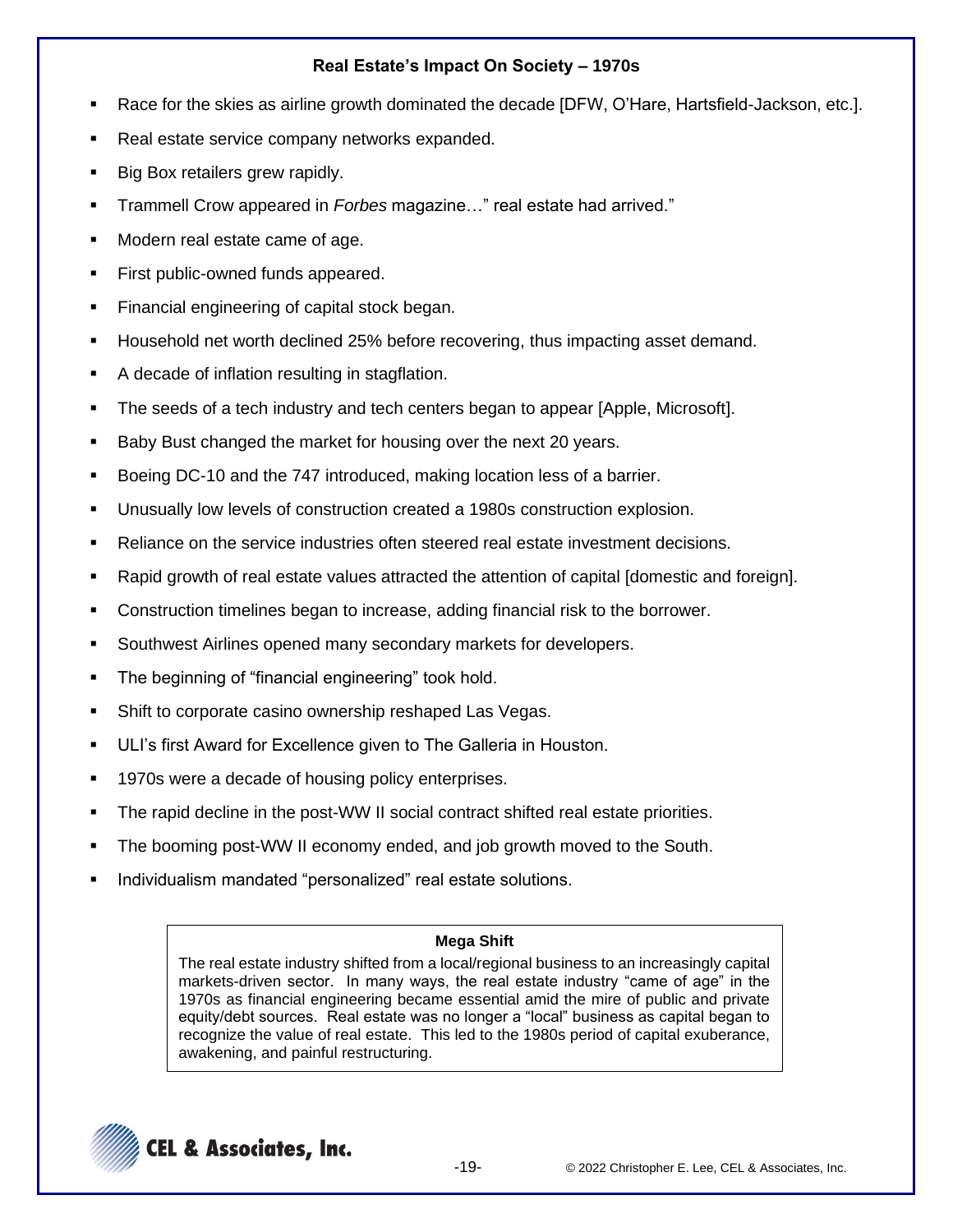# **Real Estate's Impact On Society – 1970s**

- Race for the skies as airline growth dominated the decade [DFW, O'Hare, Hartsfield-Jackson, etc.].
- Real estate service company networks expanded.
- Big Box retailers grew rapidly.
- Trammell Crow appeared in *Forbes* magazine…" real estate had arrived."
- Modern real estate came of age.
- First public-owned funds appeared.
- Financial engineering of capital stock began.
- Household net worth declined 25% before recovering, thus impacting asset demand.
- A decade of inflation resulting in stagflation.
- The seeds of a tech industry and tech centers began to appear [Apple, Microsoft].
- Baby Bust changed the market for housing over the next 20 years.
- Boeing DC-10 and the 747 introduced, making location less of a barrier.
- Unusually low levels of construction created a 1980s construction explosion.
- Reliance on the service industries often steered real estate investment decisions.
- Rapid growth of real estate values attracted the attention of capital [domestic and foreign].
- Construction timelines began to increase, adding financial risk to the borrower.
- Southwest Airlines opened many secondary markets for developers.
- The beginning of "financial engineering" took hold.
- Shift to corporate casino ownership reshaped Las Vegas.
- ULI's first Award for Excellence given to The Galleria in Houston.
- 1970s were a decade of housing policy enterprises.
- The rapid decline in the post-WW II social contract shifted real estate priorities.
- The booming post-WW II economy ended, and job growth moved to the South.
- Individualism mandated "personalized" real estate solutions.

## **Mega Shift**

The real estate industry shifted from a local/regional business to an increasingly capital markets-driven sector. In many ways, the real estate industry "came of age" in the 1970s as financial engineering became essential amid the mire of public and private equity/debt sources. Real estate was no longer a "local" business as capital began to recognize the value of real estate. This led to the 1980s period of capital exuberance, awakening, and painful restructuring.

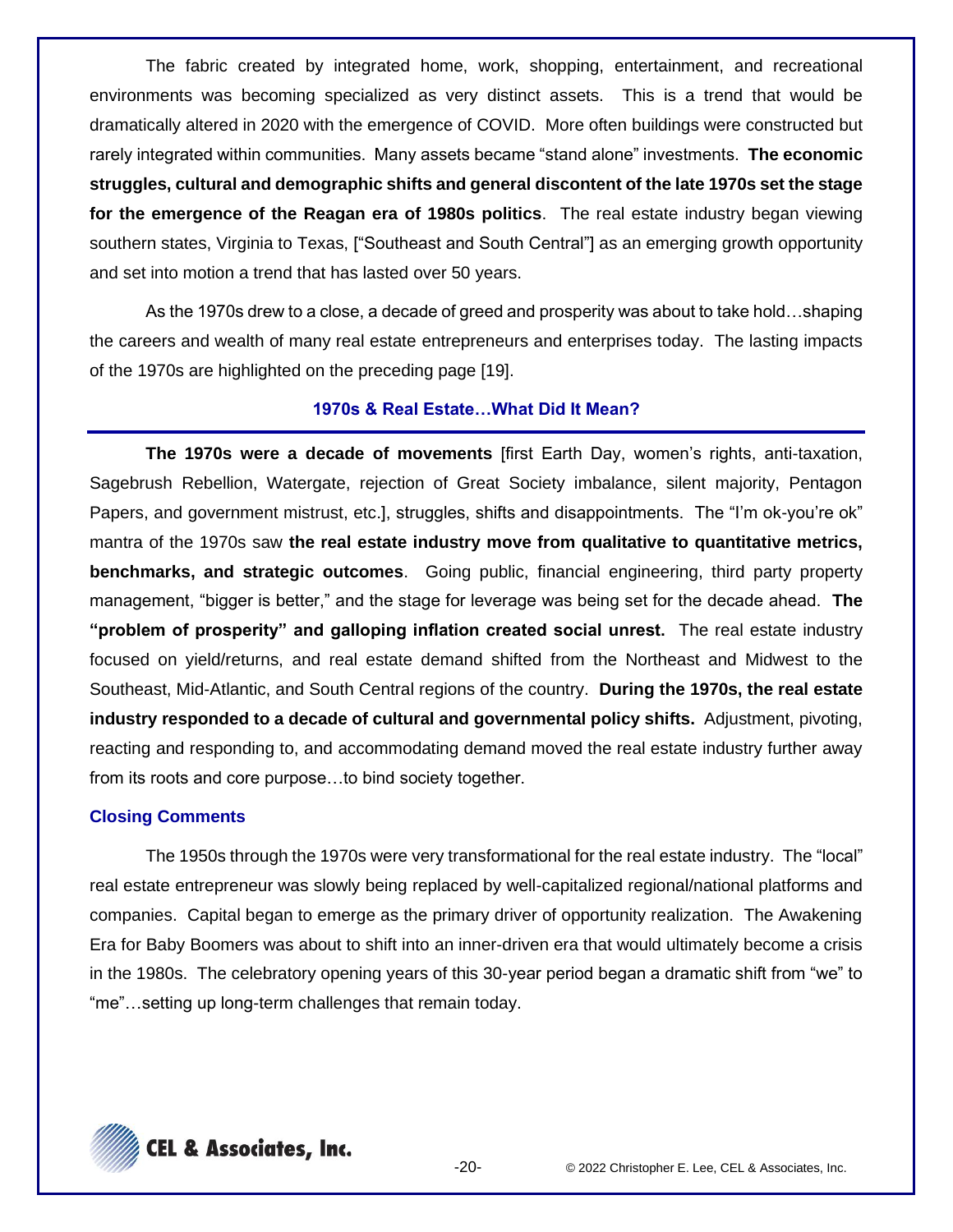The fabric created by integrated home, work, shopping, entertainment, and recreational environments was becoming specialized as very distinct assets. This is a trend that would be dramatically altered in 2020 with the emergence of COVID. More often buildings were constructed but rarely integrated within communities. Many assets became "stand alone" investments. **The economic struggles, cultural and demographic shifts and general discontent of the late 1970s set the stage for the emergence of the Reagan era of 1980s politics**. The real estate industry began viewing southern states, Virginia to Texas, ["Southeast and South Central"] as an emerging growth opportunity and set into motion a trend that has lasted over 50 years.

As the 1970s drew to a close, a decade of greed and prosperity was about to take hold…shaping the careers and wealth of many real estate entrepreneurs and enterprises today. The lasting impacts of the 1970s are highlighted on the preceding page [19].

## **1970s & Real Estate…What Did It Mean?**

**The 1970s were a decade of movements** [first Earth Day, women's rights, anti-taxation, Sagebrush Rebellion, Watergate, rejection of Great Society imbalance, silent majority, Pentagon Papers, and government mistrust, etc.], struggles, shifts and disappointments. The "I'm ok-you're ok" mantra of the 1970s saw **the real estate industry move from qualitative to quantitative metrics, benchmarks, and strategic outcomes**. Going public, financial engineering, third party property management, "bigger is better," and the stage for leverage was being set for the decade ahead. **The "problem of prosperity" and galloping inflation created social unrest.** The real estate industry focused on yield/returns, and real estate demand shifted from the Northeast and Midwest to the Southeast, Mid-Atlantic, and South Central regions of the country. **During the 1970s, the real estate industry responded to a decade of cultural and governmental policy shifts.** Adjustment, pivoting, reacting and responding to, and accommodating demand moved the real estate industry further away from its roots and core purpose…to bind society together.

#### **Closing Comments**

The 1950s through the 1970s were very transformational for the real estate industry. The "local" real estate entrepreneur was slowly being replaced by well-capitalized regional/national platforms and companies. Capital began to emerge as the primary driver of opportunity realization. The Awakening Era for Baby Boomers was about to shift into an inner-driven era that would ultimately become a crisis in the 1980s. The celebratory opening years of this 30-year period began a dramatic shift from "we" to "me"…setting up long-term challenges that remain today.

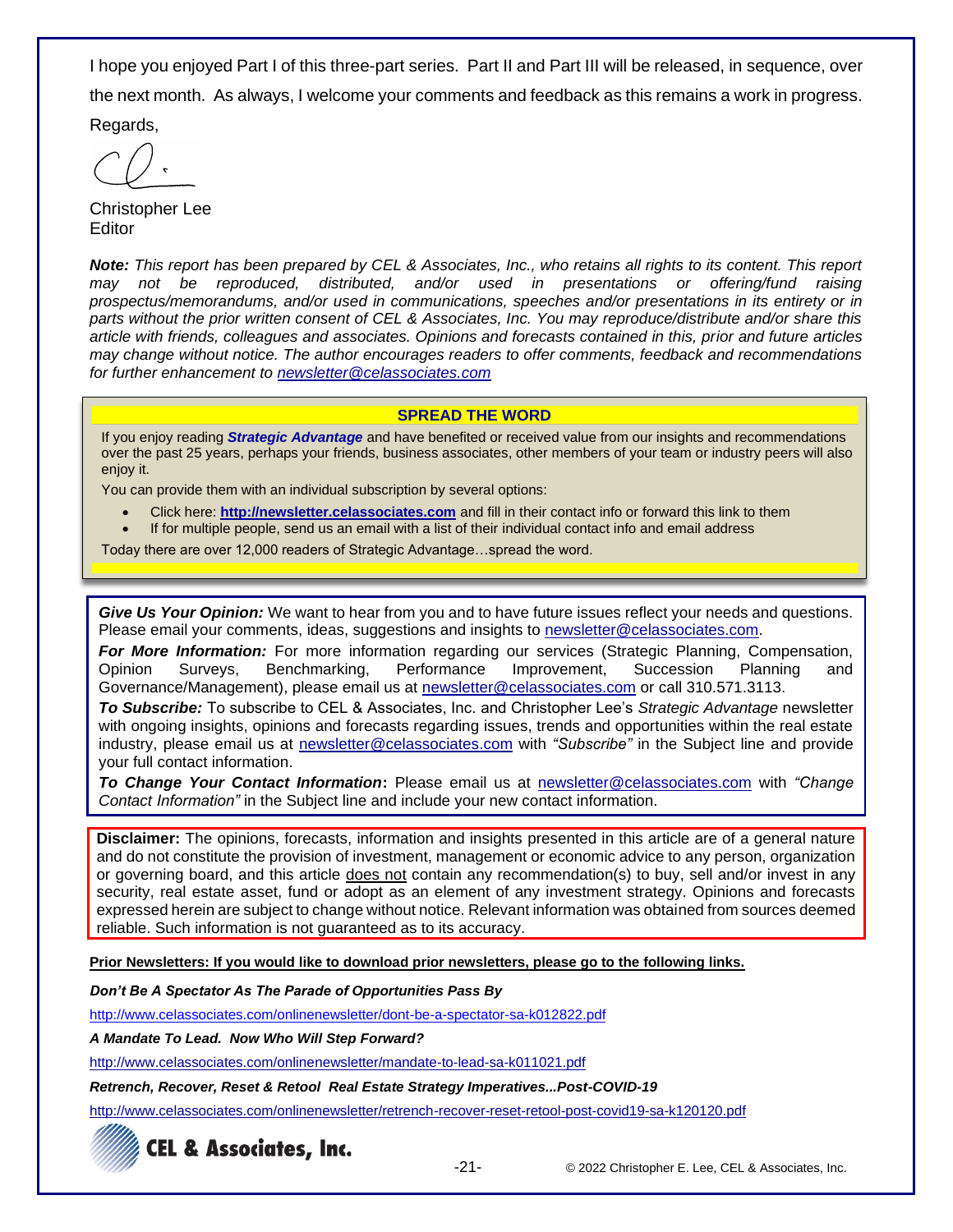I hope you enjoyed Part I of this three-part series. Part II and Part III will be released, in sequence, over the next month. As always, I welcome your comments and feedback as this remains a work in progress.

Regards,

Christopher Lee **Editor** 

*Note: This report has been prepared by CEL & Associates, Inc., who retains all rights to its content. This report may not be reproduced, distributed, and/or used in presentations or offering/fund raising prospectus/memorandums, and/or used in communications, speeches and/or presentations in its entirety or in parts without the prior written consent of CEL & Associates, Inc. You may reproduce/distribute and/or share this article with friends, colleagues and associates. Opinions and forecasts contained in this, prior and future articles may change without notice. The author encourages readers to offer comments, feedback and recommendations for further enhancement to [newsletter@celassociates.com](mailto:newsletter@celassociates.com)*

#### **SPREAD THE WORD**

If you enjoy reading *Strategic Advantage* and have benefited or received value from our insights and recommendations over the past 25 years, perhaps your friends, business associates, other members of your team or industry peers will also enjoy it.

You can provide them with an individual subscription by several options:

- Click here: **http://newsletter.celassociates.com** and fill in their contact info or forward this link to them
- If for multiple people, send us an email with a list of their individual contact info and email address

Today there are over 12,000 readers of Strategic Advantage…spread the word.

*Give Us Your Opinion:* We want to hear from you and to have future issues reflect your needs and questions. Please email your comments, ideas, suggestions and insights to newsletter@celassociates.com.

*For More Information:* For more information regarding our services (Strategic Planning, Compensation, Opinion Surveys, Benchmarking, Performance Improvement, Succession Planning and Governance/Management), please email us at newsletter@celassociates.com or call 310.571.3113.

*To Subscribe:* To subscribe to CEL & Associates, Inc. and Christopher Lee's *Strategic Advantage* newsletter with ongoing insights, opinions and forecasts regarding issues, trends and opportunities within the real estate industry, please email us at newsletter@celassociates.com with *"Subscribe"* in the Subject line and provide your full contact information.

*To Change Your Contact Information***:** Please email us at newsletter@celassociates.com with *"Change Contact Information"* in the Subject line and include your new contact information.

**Disclaimer:** The opinions, forecasts, information and insights presented in this article are of a general nature and do not constitute the provision of investment, management or economic advice to any person, organization or governing board, and this article does not contain any recommendation(s) to buy, sell and/or invest in any security, real estate asset, fund or adopt as an element of any investment strategy. Opinions and forecasts expressed herein are subject to change without notice. Relevant information was obtained from sources deemed reliable. Such information is not guaranteed as to its accuracy.

**Prior Newsletters: If you would like to download prior newsletters, please go to the following links.**

*Don't Be A Spectator As The Parade of Opportunities Pass By*

<http://www.celassociates.com/onlinenewsletter/dont-be-a-spectator-sa-k012822.pdf>

*A Mandate To Lead. Now Who Will Step Forward?*

<http://www.celassociates.com/onlinenewsletter/mandate-to-lead-sa-k011021.pdf>

*Retrench, Recover, Reset & Retool Real Estate Strategy Imperatives...Post-COVID-19*

<http://www.celassociates.com/onlinenewsletter/retrench-recover-reset-retool-post-covid19-sa-k120120.pdf>